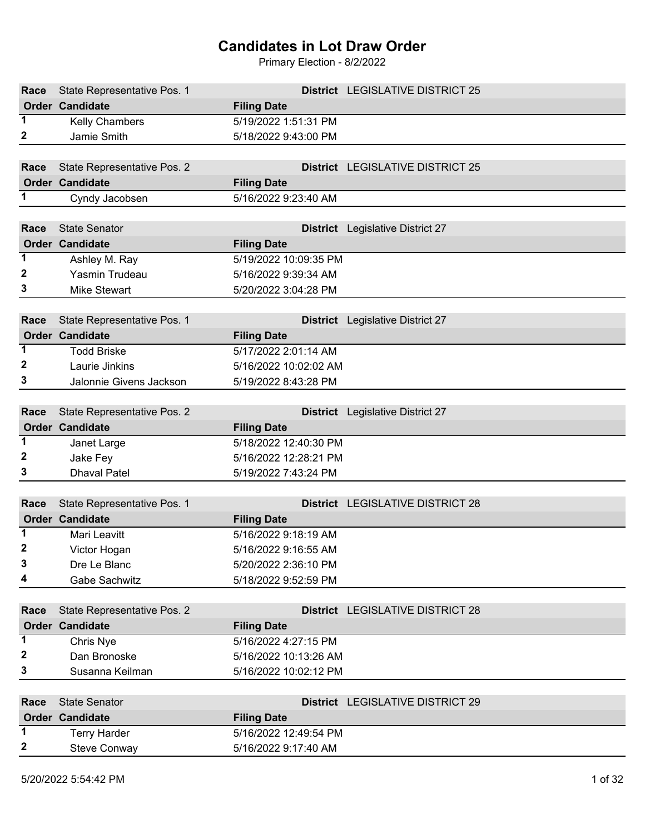| Race         | State Representative Pos. 1 |                       | <b>District</b> LEGISLATIVE DISTRICT 25 |
|--------------|-----------------------------|-----------------------|-----------------------------------------|
|              | <b>Order Candidate</b>      | <b>Filing Date</b>    |                                         |
| 1            | Kelly Chambers              | 5/19/2022 1:51:31 PM  |                                         |
| 2            | Jamie Smith                 | 5/18/2022 9:43:00 PM  |                                         |
|              |                             |                       |                                         |
| Race         | State Representative Pos. 2 |                       | <b>District</b> LEGISLATIVE DISTRICT 25 |
|              | <b>Order Candidate</b>      | <b>Filing Date</b>    |                                         |
| $\mathbf 1$  | Cyndy Jacobsen              | 5/16/2022 9:23:40 AM  |                                         |
|              |                             |                       |                                         |
| Race         | <b>State Senator</b>        |                       | <b>District</b> Legislative District 27 |
|              | <b>Order Candidate</b>      | <b>Filing Date</b>    |                                         |
| 1            | Ashley M. Ray               | 5/19/2022 10:09:35 PM |                                         |
| 2            | Yasmin Trudeau              | 5/16/2022 9:39:34 AM  |                                         |
| 3            | <b>Mike Stewart</b>         | 5/20/2022 3:04:28 PM  |                                         |
|              |                             |                       |                                         |
| Race         | State Representative Pos. 1 |                       | <b>District</b> Legislative District 27 |
|              | <b>Order Candidate</b>      | <b>Filing Date</b>    |                                         |
| 1            | <b>Todd Briske</b>          | 5/17/2022 2:01:14 AM  |                                         |
| $\mathbf{z}$ | Laurie Jinkins              | 5/16/2022 10:02:02 AM |                                         |
| 3            | Jalonnie Givens Jackson     | 5/19/2022 8:43:28 PM  |                                         |
|              |                             |                       |                                         |
| Race         | State Representative Pos. 2 |                       | <b>District</b> Legislative District 27 |
|              | Order Candidate             | <b>Filing Date</b>    |                                         |
| 1            | Janet Large                 | 5/18/2022 12:40:30 PM |                                         |
| 2            | Jake Fey                    | 5/16/2022 12:28:21 PM |                                         |
| 3            | <b>Dhaval Patel</b>         | 5/19/2022 7:43:24 PM  |                                         |
|              |                             |                       |                                         |
| Race         | State Representative Pos. 1 |                       | District LEGISLATIVE DISTRICT 28        |
|              | <b>Order Candidate</b>      | <b>Filing Date</b>    |                                         |
| $\mathbf 1$  | Mari Leavitt                | 5/16/2022 9:18:19 AM  |                                         |
| 2            | Victor Hogan                | 5/16/2022 9:16:55 AM  |                                         |
| 3            | Dre Le Blanc                | 5/20/2022 2:36:10 PM  |                                         |
| 4            | <b>Gabe Sachwitz</b>        | 5/18/2022 9:52:59 PM  |                                         |
|              |                             |                       |                                         |
| Race         | State Representative Pos. 2 |                       | District LEGISLATIVE DISTRICT 28        |
|              | Order Candidate             | <b>Filing Date</b>    |                                         |
| 1            | Chris Nye                   | 5/16/2022 4:27:15 PM  |                                         |
| 2            | Dan Bronoske                | 5/16/2022 10:13:26 AM |                                         |
| 3            | Susanna Keilman             | 5/16/2022 10:02:12 PM |                                         |
|              |                             |                       |                                         |
| Race         | <b>State Senator</b>        |                       | District LEGISLATIVE DISTRICT 29        |
|              | Order Candidate             | <b>Filing Date</b>    |                                         |
| 1            | <b>Terry Harder</b>         | 5/16/2022 12:49:54 PM |                                         |
| 2            |                             |                       |                                         |
|              | <b>Steve Conway</b>         | 5/16/2022 9:17:40 AM  |                                         |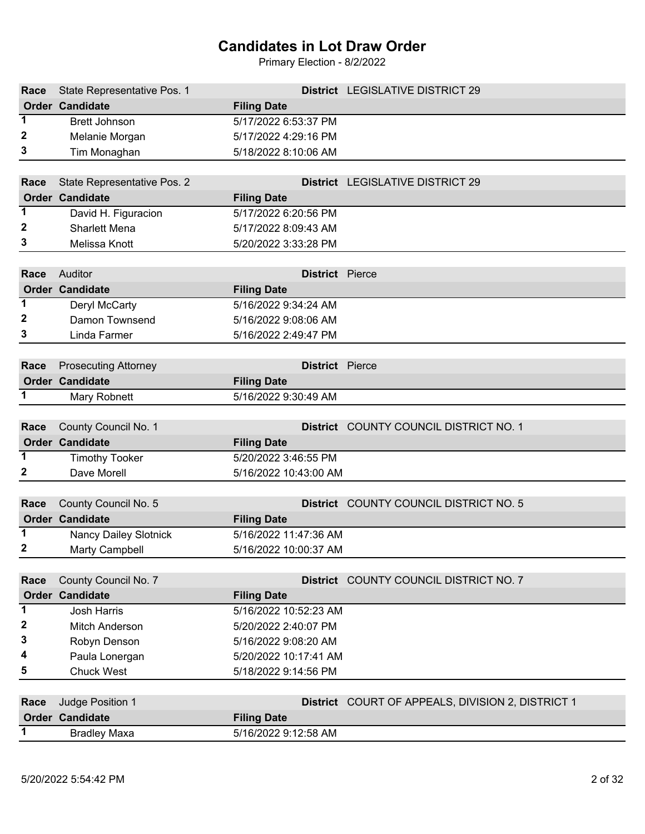| Race           | State Representative Pos. 1 |                        | District LEGISLATIVE DISTRICT 29                         |
|----------------|-----------------------------|------------------------|----------------------------------------------------------|
|                | <b>Order Candidate</b>      | <b>Filing Date</b>     |                                                          |
| 1              | <b>Brett Johnson</b>        | 5/17/2022 6:53:37 PM   |                                                          |
| $\mathbf{z}$   |                             | 5/17/2022 4:29:16 PM   |                                                          |
| 3              | Melanie Morgan              |                        |                                                          |
|                | Tim Monaghan                | 5/18/2022 8:10:06 AM   |                                                          |
|                |                             |                        |                                                          |
| Race           | State Representative Pos. 2 |                        | District LEGISLATIVE DISTRICT 29                         |
|                | <b>Order Candidate</b>      | <b>Filing Date</b>     |                                                          |
| 1              | David H. Figuracion         | 5/17/2022 6:20:56 PM   |                                                          |
| 2              | <b>Sharlett Mena</b>        | 5/17/2022 8:09:43 AM   |                                                          |
| 3              | Melissa Knott               | 5/20/2022 3:33:28 PM   |                                                          |
|                |                             |                        |                                                          |
| Race           | Auditor                     | <b>District</b> Pierce |                                                          |
|                | <b>Order Candidate</b>      | <b>Filing Date</b>     |                                                          |
| $\overline{1}$ | Deryl McCarty               | 5/16/2022 9:34:24 AM   |                                                          |
| 2              | Damon Townsend              | 5/16/2022 9:08:06 AM   |                                                          |
| 3              | Linda Farmer                | 5/16/2022 2:49:47 PM   |                                                          |
|                |                             |                        |                                                          |
| Race           | <b>Prosecuting Attorney</b> | <b>District</b> Pierce |                                                          |
|                | <b>Order Candidate</b>      | <b>Filing Date</b>     |                                                          |
| $\mathbf 1$    | Mary Robnett                | 5/16/2022 9:30:49 AM   |                                                          |
|                |                             |                        |                                                          |
| Race           | County Council No. 1        |                        | District COUNTY COUNCIL DISTRICT NO. 1                   |
|                | Order Candidate             | <b>Filing Date</b>     |                                                          |
| 1              | <b>Timothy Tooker</b>       | 5/20/2022 3:46:55 PM   |                                                          |
| 2              | Dave Morell                 | 5/16/2022 10:43:00 AM  |                                                          |
|                |                             |                        |                                                          |
| Race           | County Council No. 5        |                        | District COUNTY COUNCIL DISTRICT NO. 5                   |
|                | <b>Order Candidate</b>      | <b>Filing Date</b>     |                                                          |
| 1.             | Nancy Dailey Slotnick       | 5/16/2022 11:47:36 AM  |                                                          |
|                | Marty Campbell              | 5/16/2022 10:00:37 AM  |                                                          |
|                |                             |                        |                                                          |
| <b>Race</b>    | County Council No. 7        |                        | District COUNTY COUNCIL DISTRICT NO. 7                   |
|                | Order Candidate             | <b>Filing Date</b>     |                                                          |
| $\mathbf{1}$   | Josh Harris                 | 5/16/2022 10:52:23 AM  |                                                          |
| $\mathbf{z}$   | Mitch Anderson              | 5/20/2022 2:40:07 PM   |                                                          |
| 3              | Robyn Denson                | 5/16/2022 9:08:20 AM   |                                                          |
| 4              | Paula Lonergan              | 5/20/2022 10:17:41 AM  |                                                          |
| 5              | <b>Chuck West</b>           | 5/18/2022 9:14:56 PM   |                                                          |
|                |                             |                        |                                                          |
| Race           | Judge Position 1            |                        | <b>District</b> COURT OF APPEALS, DIVISION 2, DISTRICT 1 |
|                | <b>Order Candidate</b>      | <b>Filing Date</b>     |                                                          |
| 1.             | <b>Bradley Maxa</b>         | 5/16/2022 9:12:58 AM   |                                                          |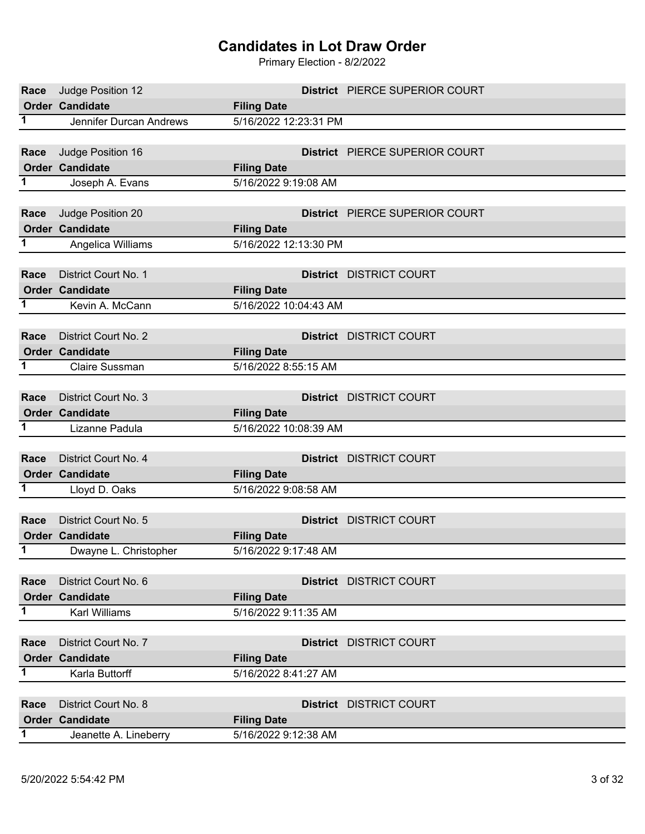| Race           | Judge Position 12       |                       | District PIERCE SUPERIOR COURT |
|----------------|-------------------------|-----------------------|--------------------------------|
|                | Order Candidate         | <b>Filing Date</b>    |                                |
| 1              | Jennifer Durcan Andrews | 5/16/2022 12:23:31 PM |                                |
|                |                         |                       |                                |
| Race           | Judge Position 16       |                       | District PIERCE SUPERIOR COURT |
|                | Order Candidate         | <b>Filing Date</b>    |                                |
| 1              | Joseph A. Evans         | 5/16/2022 9:19:08 AM  |                                |
|                |                         |                       |                                |
| Race           | Judge Position 20       |                       | District PIERCE SUPERIOR COURT |
|                | Order Candidate         | <b>Filing Date</b>    |                                |
| 1              | Angelica Williams       | 5/16/2022 12:13:30 PM |                                |
|                |                         |                       |                                |
| Race           | District Court No. 1    |                       | <b>District</b> DISTRICT COURT |
| 1              | <b>Order Candidate</b>  | <b>Filing Date</b>    |                                |
|                | Kevin A. McCann         | 5/16/2022 10:04:43 AM |                                |
| Race           | District Court No. 2    |                       | <b>District</b> DISTRICT COURT |
|                | <b>Order Candidate</b>  | <b>Filing Date</b>    |                                |
| 1              | <b>Claire Sussman</b>   | 5/16/2022 8:55:15 AM  |                                |
|                |                         |                       |                                |
| Race           | District Court No. 3    |                       | <b>District</b> DISTRICT COURT |
|                | <b>Order Candidate</b>  | <b>Filing Date</b>    |                                |
| 1.             | Lizanne Padula          | 5/16/2022 10:08:39 AM |                                |
|                |                         |                       |                                |
| Race           | District Court No. 4    |                       | District DISTRICT COURT        |
|                | <b>Order Candidate</b>  | <b>Filing Date</b>    |                                |
| 1              | Lloyd D. Oaks           | 5/16/2022 9:08:58 AM  |                                |
|                |                         |                       |                                |
| Race           | District Court No. 5    |                       | District DISTRICT COURT        |
|                | Order Candidate         | <b>Filing Date</b>    |                                |
| 1              | Dwayne L. Christopher   | 5/16/2022 9:17:48 AM  |                                |
|                |                         |                       |                                |
| Race           | District Court No. 6    |                       | District DISTRICT COURT        |
| 1              | <b>Order Candidate</b>  | <b>Filing Date</b>    |                                |
|                | Karl Williams           | 5/16/2022 9:11:35 AM  |                                |
| Race           | District Court No. 7    |                       | <b>District</b> DISTRICT COURT |
|                | <b>Order Candidate</b>  | <b>Filing Date</b>    |                                |
| 1              | Karla Buttorff          | 5/16/2022 8:41:27 AM  |                                |
|                |                         |                       |                                |
| Race           | District Court No. 8    |                       | <b>District</b> DISTRICT COURT |
|                | <b>Order Candidate</b>  | <b>Filing Date</b>    |                                |
| $\overline{1}$ | Jeanette A. Lineberry   | 5/16/2022 9:12:38 AM  |                                |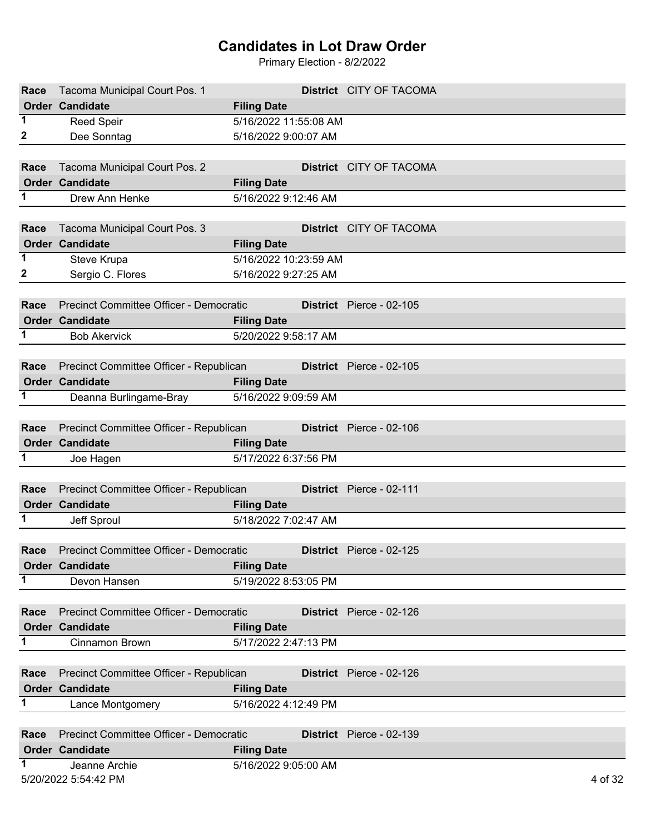| Race | Tacoma Municipal Court Pos. 1           |                                            | District CITY OF TACOMA  |
|------|-----------------------------------------|--------------------------------------------|--------------------------|
|      | <b>Order Candidate</b>                  | <b>Filing Date</b>                         |                          |
| 1    | <b>Reed Speir</b>                       | 5/16/2022 11:55:08 AM                      |                          |
| 2    | Dee Sonntag                             | 5/16/2022 9:00:07 AM                       |                          |
|      |                                         |                                            |                          |
| Race | Tacoma Municipal Court Pos. 2           |                                            | District CITY OF TACOMA  |
|      | <b>Order Candidate</b>                  | <b>Filing Date</b>                         |                          |
| 1    | Drew Ann Henke                          | 5/16/2022 9:12:46 AM                       |                          |
|      |                                         |                                            |                          |
| Race | Tacoma Municipal Court Pos. 3           |                                            | District CITY OF TACOMA  |
|      | <b>Order Candidate</b>                  | <b>Filing Date</b>                         |                          |
| 1.   | Steve Krupa                             | 5/16/2022 10:23:59 AM                      |                          |
| 2    | Sergio C. Flores                        | 5/16/2022 9:27:25 AM                       |                          |
|      |                                         |                                            |                          |
| Race | Precinct Committee Officer - Democratic |                                            | District Pierce - 02-105 |
|      | <b>Order Candidate</b>                  | <b>Filing Date</b>                         |                          |
| 1    | <b>Bob Akervick</b>                     | 5/20/2022 9:58:17 AM                       |                          |
|      |                                         |                                            |                          |
| Race | Precinct Committee Officer - Republican |                                            | District Pierce - 02-105 |
|      | <b>Order Candidate</b>                  | <b>Filing Date</b>                         |                          |
| 1    | Deanna Burlingame-Bray                  | 5/16/2022 9:09:59 AM                       |                          |
|      |                                         |                                            |                          |
| Race | Precinct Committee Officer - Republican |                                            | District Pierce - 02-106 |
|      | <b>Order Candidate</b>                  | <b>Filing Date</b>                         |                          |
| 1.   | Joe Hagen                               | 5/17/2022 6:37:56 PM                       |                          |
|      |                                         |                                            |                          |
| Race | Precinct Committee Officer - Republican |                                            | District Pierce - 02-111 |
| 1    | <b>Order Candidate</b>                  | <b>Filing Date</b>                         |                          |
|      | Jeff Sproul                             | 5/18/2022 7:02:47 AM                       |                          |
| Race |                                         |                                            |                          |
|      | Precinct Committee Officer - Democratic |                                            | District Pierce - 02-125 |
| 1    | <b>Order Candidate</b><br>Devon Hansen  | <b>Filing Date</b><br>5/19/2022 8:53:05 PM |                          |
|      |                                         |                                            |                          |
| Race | Precinct Committee Officer - Democratic |                                            | District Pierce - 02-126 |
|      | Order Candidate                         | <b>Filing Date</b>                         |                          |
| 1    | Cinnamon Brown                          | 5/17/2022 2:47:13 PM                       |                          |
|      |                                         |                                            |                          |
| Race | Precinct Committee Officer - Republican |                                            | District Pierce - 02-126 |
|      | <b>Order Candidate</b>                  | <b>Filing Date</b>                         |                          |
| 1    | Lance Montgomery                        | 5/16/2022 4:12:49 PM                       |                          |
|      |                                         |                                            |                          |
| Race | Precinct Committee Officer - Democratic |                                            | District Pierce - 02-139 |
|      | <b>Order Candidate</b>                  | <b>Filing Date</b>                         |                          |
|      | Jeanne Archie                           | 5/16/2022 9:05:00 AM                       |                          |
|      | 5/20/2022 5:54:42 PM                    |                                            | 4 of 32                  |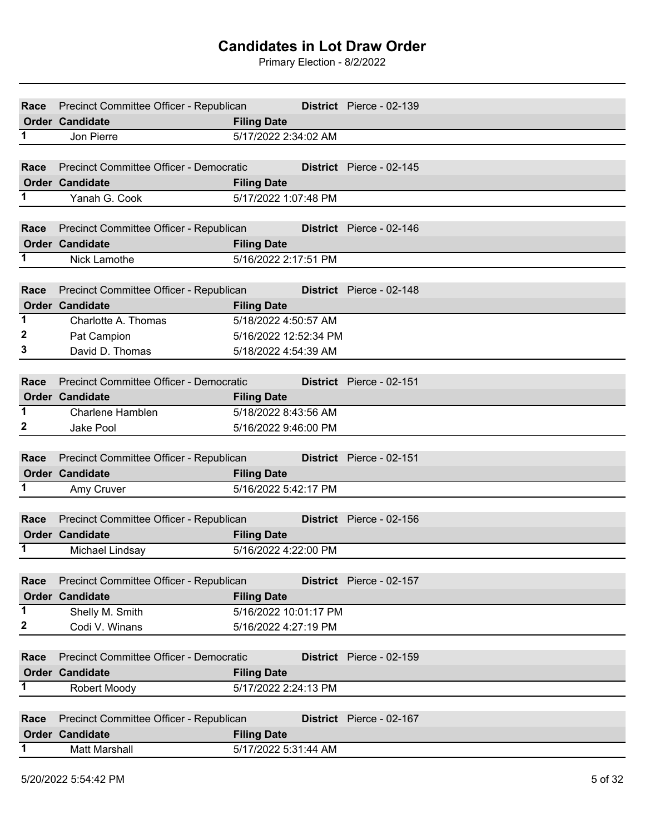| Race           | Precinct Committee Officer - Republican |                                            | District Pierce - 02-139 |  |
|----------------|-----------------------------------------|--------------------------------------------|--------------------------|--|
|                | <b>Order Candidate</b>                  |                                            |                          |  |
| 1              |                                         | <b>Filing Date</b><br>5/17/2022 2:34:02 AM |                          |  |
|                | Jon Pierre                              |                                            |                          |  |
|                |                                         |                                            |                          |  |
| Race           | Precinct Committee Officer - Democratic |                                            | District Pierce - 02-145 |  |
|                | <b>Order Candidate</b>                  | <b>Filing Date</b>                         |                          |  |
| 1              | Yanah G. Cook                           | 5/17/2022 1:07:48 PM                       |                          |  |
|                |                                         |                                            |                          |  |
| Race           | Precinct Committee Officer - Republican |                                            | District Pierce - 02-146 |  |
|                | <b>Order Candidate</b>                  | <b>Filing Date</b>                         |                          |  |
| 1              | Nick Lamothe                            | 5/16/2022 2:17:51 PM                       |                          |  |
|                |                                         |                                            |                          |  |
| Race           | Precinct Committee Officer - Republican |                                            | District Pierce - 02-148 |  |
|                | <b>Order Candidate</b>                  | <b>Filing Date</b>                         |                          |  |
| $\overline{1}$ | Charlotte A. Thomas                     | 5/18/2022 4:50:57 AM                       |                          |  |
| 2              | Pat Campion                             | 5/16/2022 12:52:34 PM                      |                          |  |
| 3              | David D. Thomas                         | 5/18/2022 4:54:39 AM                       |                          |  |
|                |                                         |                                            |                          |  |
| Race           | Precinct Committee Officer - Democratic |                                            | District Pierce - 02-151 |  |
|                | <b>Order Candidate</b>                  | <b>Filing Date</b>                         |                          |  |
| 1              | <b>Charlene Hamblen</b>                 | 5/18/2022 8:43:56 AM                       |                          |  |
| 2              | Jake Pool                               | 5/16/2022 9:46:00 PM                       |                          |  |
|                |                                         |                                            |                          |  |
| Race           | Precinct Committee Officer - Republican |                                            | District Pierce - 02-151 |  |
|                | <b>Order Candidate</b>                  | <b>Filing Date</b>                         |                          |  |
| 1              | Amy Cruver                              | 5/16/2022 5:42:17 PM                       |                          |  |
|                |                                         |                                            |                          |  |
| Race           | Precinct Committee Officer - Republican |                                            | District Pierce - 02-156 |  |
|                | Order Candidate                         | <b>Filing Date</b>                         |                          |  |
| 1.             | Michael Lindsay                         | 5/16/2022 4:22:00 PM                       |                          |  |
|                |                                         |                                            |                          |  |
| Race           | Precinct Committee Officer - Republican |                                            | District Pierce - 02-157 |  |
|                | <b>Order Candidate</b>                  | <b>Filing Date</b>                         |                          |  |
| 1              | Shelly M. Smith                         | 5/16/2022 10:01:17 PM                      |                          |  |
| 2              | Codi V. Winans                          | 5/16/2022 4:27:19 PM                       |                          |  |
|                |                                         |                                            |                          |  |
| Race           | Precinct Committee Officer - Democratic |                                            | District Pierce - 02-159 |  |
|                | <b>Order Candidate</b>                  | <b>Filing Date</b>                         |                          |  |
| 1              | Robert Moody                            | 5/17/2022 2:24:13 PM                       |                          |  |
|                |                                         |                                            |                          |  |
| Race           | Precinct Committee Officer - Republican |                                            | District Pierce - 02-167 |  |
|                | <b>Order Candidate</b>                  | <b>Filing Date</b>                         |                          |  |
| 1              | Matt Marshall                           | 5/17/2022 5:31:44 AM                       |                          |  |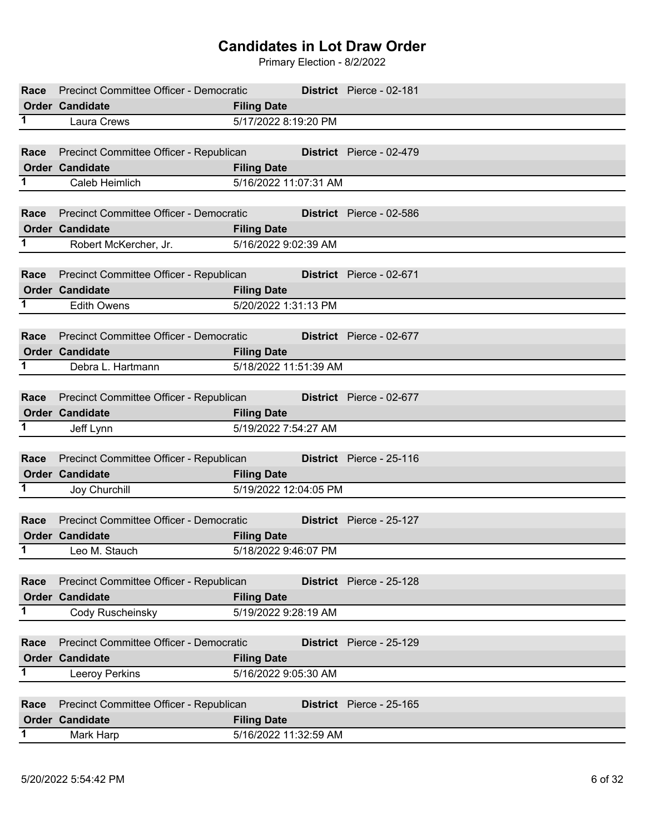| Race        | Precinct Committee Officer - Democratic | District Pierce - 02-181        |
|-------------|-----------------------------------------|---------------------------------|
|             | <b>Order Candidate</b>                  | <b>Filing Date</b>              |
| $\mathbf 1$ | Laura Crews                             | 5/17/2022 8:19:20 PM            |
|             |                                         |                                 |
| Race        | Precinct Committee Officer - Republican | District Pierce - 02-479        |
|             | <b>Order Candidate</b>                  | <b>Filing Date</b>              |
| 1           | Caleb Heimlich                          | 5/16/2022 11:07:31 AM           |
|             |                                         |                                 |
| Race        | Precinct Committee Officer - Democratic | <b>District</b> Pierce - 02-586 |
|             | <b>Order Candidate</b>                  | <b>Filing Date</b>              |
| $\mathbf 1$ | Robert McKercher, Jr.                   | 5/16/2022 9:02:39 AM            |
|             |                                         |                                 |
| Race        | Precinct Committee Officer - Republican | District Pierce - 02-671        |
|             | <b>Order Candidate</b>                  | <b>Filing Date</b>              |
| 1           | <b>Edith Owens</b>                      | 5/20/2022 1:31:13 PM            |
|             |                                         |                                 |
| Race        | Precinct Committee Officer - Democratic | District Pierce - 02-677        |
|             | <b>Order Candidate</b>                  | <b>Filing Date</b>              |
| $\mathbf 1$ | Debra L. Hartmann                       | 5/18/2022 11:51:39 AM           |
|             |                                         |                                 |
| Race        | Precinct Committee Officer - Republican | District Pierce - 02-677        |
|             | <b>Order Candidate</b>                  | <b>Filing Date</b>              |
| 1.          | Jeff Lynn                               | 5/19/2022 7:54:27 AM            |
|             |                                         |                                 |
| Race        | Precinct Committee Officer - Republican | District Pierce - 25-116        |
| 1           | <b>Order Candidate</b>                  | <b>Filing Date</b>              |
|             | Joy Churchill                           | 5/19/2022 12:04:05 PM           |
| Race        | Precinct Committee Officer - Democratic | District Pierce - 25-127        |
|             | <b>Order Candidate</b>                  | <b>Filing Date</b>              |
|             | Leo M. Stauch                           | 5/18/2022 9:46:07 PM            |
|             |                                         |                                 |
| Race        | Precinct Committee Officer - Republican | District Pierce - 25-128        |
|             | Order Candidate                         | <b>Filing Date</b>              |
| 1           | Cody Ruscheinsky                        | 5/19/2022 9:28:19 AM            |
|             |                                         |                                 |
| Race        | Precinct Committee Officer - Democratic | District Pierce - 25-129        |
|             | Order Candidate                         | <b>Filing Date</b>              |
| $\mathbf 1$ | Leeroy Perkins                          | 5/16/2022 9:05:30 AM            |
|             |                                         |                                 |
| Race        | Precinct Committee Officer - Republican | District Pierce - 25-165        |
|             | <b>Order Candidate</b>                  | <b>Filing Date</b>              |
|             |                                         |                                 |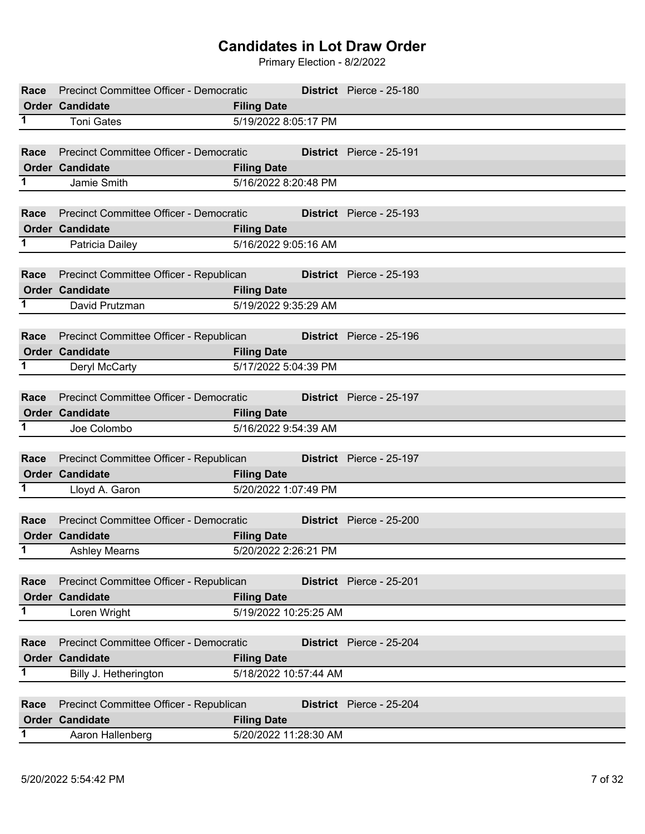| Race        | Precinct Committee Officer - Democratic | District Pierce - 25-180        |
|-------------|-----------------------------------------|---------------------------------|
|             | <b>Order Candidate</b>                  | <b>Filing Date</b>              |
| 1           | <b>Toni Gates</b>                       | 5/19/2022 8:05:17 PM            |
|             |                                         |                                 |
| Race        | Precinct Committee Officer - Democratic | District Pierce - 25-191        |
|             | <b>Order Candidate</b>                  | <b>Filing Date</b>              |
| 1           | Jamie Smith                             | 5/16/2022 8:20:48 PM            |
|             |                                         |                                 |
| Race        | Precinct Committee Officer - Democratic | <b>District</b> Pierce - 25-193 |
|             | <b>Order Candidate</b>                  | <b>Filing Date</b>              |
| $\mathbf 1$ | Patricia Dailey                         | 5/16/2022 9:05:16 AM            |
|             |                                         |                                 |
| Race        | Precinct Committee Officer - Republican | District Pierce - 25-193        |
|             | <b>Order Candidate</b>                  | <b>Filing Date</b>              |
| 1           | David Prutzman                          | 5/19/2022 9:35:29 AM            |
|             |                                         |                                 |
| Race        | Precinct Committee Officer - Republican | District Pierce - 25-196        |
|             | <b>Order Candidate</b>                  | <b>Filing Date</b>              |
| $\mathbf 1$ | Deryl McCarty                           | 5/17/2022 5:04:39 PM            |
|             |                                         |                                 |
| Race        | Precinct Committee Officer - Democratic | District Pierce - 25-197        |
|             | <b>Order Candidate</b>                  | <b>Filing Date</b>              |
| $\mathbf 1$ | Joe Colombo                             | 5/16/2022 9:54:39 AM            |
|             |                                         |                                 |
| Race        | Precinct Committee Officer - Republican | District Pierce - 25-197        |
| 1           | <b>Order Candidate</b>                  | <b>Filing Date</b>              |
|             | Lloyd A. Garon                          | 5/20/2022 1:07:49 PM            |
| Race        | Precinct Committee Officer - Democratic | District Pierce - 25-200        |
|             | <b>Order Candidate</b>                  | <b>Filing Date</b>              |
|             | <b>Ashley Mearns</b>                    | 5/20/2022 2:26:21 PM            |
|             |                                         |                                 |
| Race        | Precinct Committee Officer - Republican | District Pierce - 25-201        |
|             | Order Candidate                         | <b>Filing Date</b>              |
| 1           | Loren Wright                            | 5/19/2022 10:25:25 AM           |
|             |                                         |                                 |
| Race        | Precinct Committee Officer - Democratic | District Pierce - 25-204        |
|             | Order Candidate                         | <b>Filing Date</b>              |
| 1           | Billy J. Hetherington                   | 5/18/2022 10:57:44 AM           |
|             |                                         |                                 |
| Race        | Precinct Committee Officer - Republican | District Pierce - 25-204        |
|             | Order Candidate                         | <b>Filing Date</b>              |
| 1           | Aaron Hallenberg                        | 5/20/2022 11:28:30 AM           |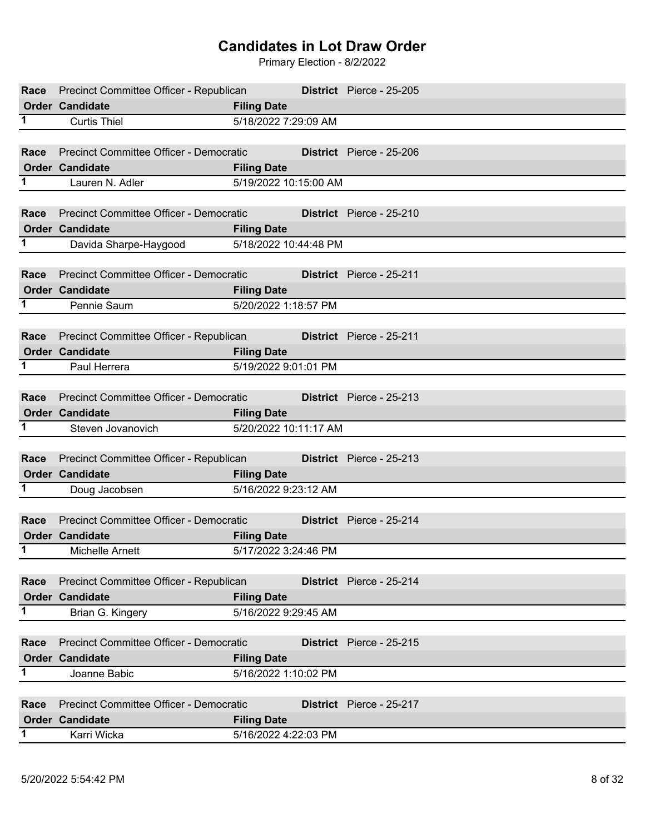| Race        | Precinct Committee Officer - Republican | District Pierce - 25-205                          |
|-------------|-----------------------------------------|---------------------------------------------------|
|             | <b>Order Candidate</b>                  | <b>Filing Date</b>                                |
| $\mathbf 1$ | <b>Curtis Thiel</b>                     | 5/18/2022 7:29:09 AM                              |
|             |                                         |                                                   |
| Race        | Precinct Committee Officer - Democratic | District Pierce - 25-206<br><u> 1999 - Jan Ja</u> |
|             | <b>Order Candidate</b>                  | <b>Filing Date</b>                                |
| 1           | Lauren N. Adler                         | 5/19/2022 10:15:00 AM                             |
|             |                                         |                                                   |
| Race        | Precinct Committee Officer - Democratic | <b>District</b> Pierce - 25-210                   |
|             | <b>Order Candidate</b>                  | <b>Filing Date</b>                                |
| $\mathbf 1$ | Davida Sharpe-Haygood                   | 5/18/2022 10:44:48 PM                             |
|             |                                         |                                                   |
| Race        | Precinct Committee Officer - Democratic | District Pierce - 25-211                          |
|             | <b>Order Candidate</b>                  | <b>Filing Date</b>                                |
| 1           | Pennie Saum                             | 5/20/2022 1:18:57 PM                              |
|             |                                         |                                                   |
| Race        | Precinct Committee Officer - Republican | District Pierce - 25-211                          |
|             | <b>Order Candidate</b>                  | <b>Filing Date</b>                                |
| 1.          | Paul Herrera                            | 5/19/2022 9:01:01 PM                              |
|             |                                         |                                                   |
| Race        | Precinct Committee Officer - Democratic | District Pierce - 25-213                          |
|             | <b>Order Candidate</b>                  |                                                   |
|             |                                         | <b>Filing Date</b>                                |
| $\mathbf 1$ | Steven Jovanovich                       | 5/20/2022 10:11:17 AM                             |
|             |                                         |                                                   |
| Race        | Precinct Committee Officer - Republican | District Pierce - 25-213                          |
|             | <b>Order Candidate</b>                  | <b>Filing Date</b>                                |
| 1           | Doug Jacobsen                           | 5/16/2022 9:23:12 AM                              |
|             |                                         |                                                   |
| Race        | Precinct Committee Officer - Democratic | District Pierce - 25-214                          |
|             | <b>Order Candidate</b>                  | <b>Filing Date</b>                                |
|             | Michelle Arnett                         | 5/17/2022 3:24:46 PM                              |
|             |                                         |                                                   |
| Race        | Precinct Committee Officer - Republican | District Pierce - 25-214                          |
|             | <b>Order Candidate</b>                  | <b>Filing Date</b>                                |
| 1           | Brian G. Kingery                        | 5/16/2022 9:29:45 AM                              |
|             |                                         |                                                   |
| Race        | Precinct Committee Officer - Democratic | District Pierce - 25-215                          |
| 1           | <b>Order Candidate</b>                  | <b>Filing Date</b>                                |
|             | Joanne Babic                            | 5/16/2022 1:10:02 PM                              |
| Race        | Precinct Committee Officer - Democratic | District Pierce - 25-217                          |
|             | <b>Order Candidate</b>                  | <b>Filing Date</b>                                |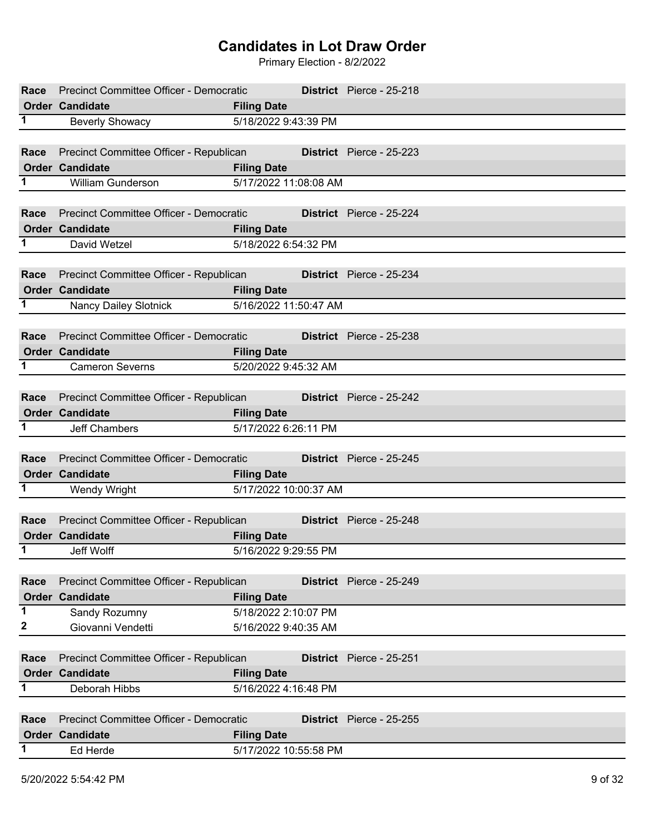| Race        | Precinct Committee Officer - Democratic | District Pierce - 25-218 |
|-------------|-----------------------------------------|--------------------------|
|             | <b>Order Candidate</b>                  | <b>Filing Date</b>       |
| $\mathbf 1$ | <b>Beverly Showacy</b>                  | 5/18/2022 9:43:39 PM     |
|             |                                         |                          |
| Race        | Precinct Committee Officer - Republican | District Pierce - 25-223 |
|             | <b>Order Candidate</b>                  | <b>Filing Date</b>       |
| 1           | William Gunderson                       | 5/17/2022 11:08:08 AM    |
|             |                                         |                          |
| Race        | Precinct Committee Officer - Democratic | District Pierce - 25-224 |
|             | <b>Order Candidate</b>                  | <b>Filing Date</b>       |
| 1           | David Wetzel                            | 5/18/2022 6:54:32 PM     |
|             |                                         |                          |
| Race        | Precinct Committee Officer - Republican | District Pierce - 25-234 |
|             | <b>Order Candidate</b>                  | <b>Filing Date</b>       |
| $\mathbf 1$ | Nancy Dailey Slotnick                   | 5/16/2022 11:50:47 AM    |
|             |                                         |                          |
| Race        | Precinct Committee Officer - Democratic | District Pierce - 25-238 |
|             | <b>Order Candidate</b>                  | <b>Filing Date</b>       |
| $\mathbf 1$ | <b>Cameron Severns</b>                  | 5/20/2022 9:45:32 AM     |
|             |                                         |                          |
| Race        | Precinct Committee Officer - Republican | District Pierce - 25-242 |
|             | <b>Order Candidate</b>                  | <b>Filing Date</b>       |
| 1           | Jeff Chambers                           | 5/17/2022 6:26:11 PM     |
|             |                                         |                          |
| Race        | Precinct Committee Officer - Democratic | District Pierce - 25-245 |
|             | Order Candidate                         | <b>Filing Date</b>       |
| 1           | Wendy Wright                            | 5/17/2022 10:00:37 AM    |
|             |                                         |                          |
| Race        | Precinct Committee Officer - Republican | District Pierce - 25-248 |
|             | Order Candidate                         | <b>Filing Date</b>       |
|             | Jeff Wolff                              | 5/16/2022 9:29:55 PM     |
|             |                                         |                          |
| Race        | Precinct Committee Officer - Republican | District Pierce - 25-249 |
|             | Order Candidate                         | <b>Filing Date</b>       |
| 1           | Sandy Rozumny                           | 5/18/2022 2:10:07 PM     |
| 2           | Giovanni Vendetti                       | 5/16/2022 9:40:35 AM     |
|             |                                         |                          |
| Race        | Precinct Committee Officer - Republican | District Pierce - 25-251 |
|             | Order Candidate                         | <b>Filing Date</b>       |
| 1.          | Deborah Hibbs                           | 5/16/2022 4:16:48 PM     |
|             |                                         |                          |
| Race        | Precinct Committee Officer - Democratic | District Pierce - 25-255 |
|             | Order Candidate                         | <b>Filing Date</b>       |
| 1.          | Ed Herde                                | 5/17/2022 10:55:58 PM    |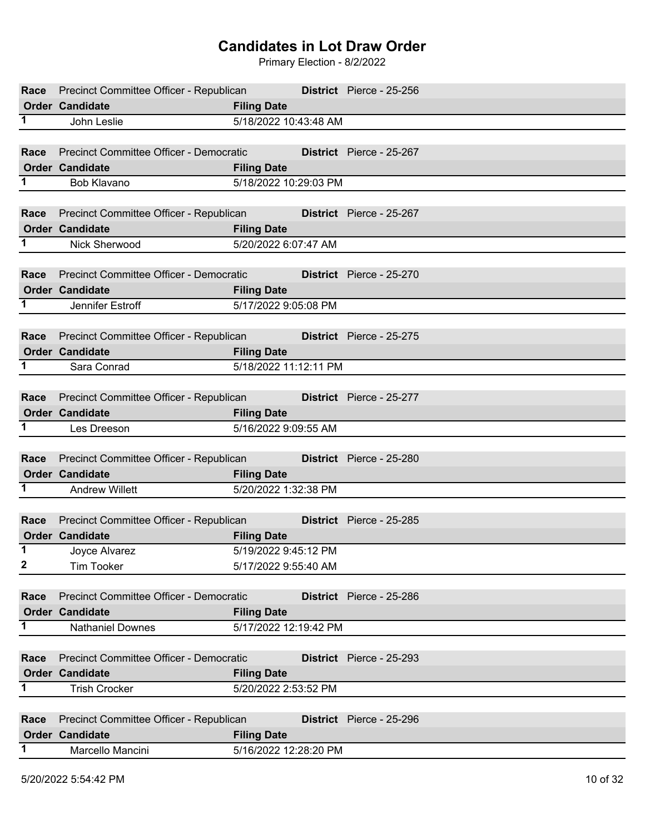| Race        | Precinct Committee Officer - Republican | District Pierce - 25-256             |
|-------------|-----------------------------------------|--------------------------------------|
|             | <b>Order Candidate</b>                  |                                      |
| 1           |                                         | <b>Filing Date</b>                   |
|             | John Leslie                             | 5/18/2022 10:43:48 AM                |
|             |                                         |                                      |
| Race        | Precinct Committee Officer - Democratic | District Pierce - 25-267             |
|             | <b>Order Candidate</b>                  | <b>Filing Date</b>                   |
| 1           | Bob Klavano                             | 5/18/2022 10:29:03 PM                |
|             |                                         |                                      |
| Race        | Precinct Committee Officer - Republican | District Pierce - 25-267             |
|             | Order Candidate                         | <b>Filing Date</b>                   |
| 1.          | Nick Sherwood                           | 5/20/2022 6:07:47 AM                 |
|             |                                         |                                      |
| Race        | Precinct Committee Officer - Democratic | <b>District</b> Pierce - 25-270      |
|             | <b>Order Candidate</b>                  | <b>Filing Date</b>                   |
| $\mathbf 1$ | Jennifer Estroff                        | 5/17/2022 9:05:08 PM                 |
|             |                                         |                                      |
| Race        | Precinct Committee Officer - Republican | District Pierce - 25-275<br>an Tanah |
|             | <b>Order Candidate</b>                  | <b>Filing Date</b>                   |
| 1           | Sara Conrad                             | 5/18/2022 11:12:11 PM                |
|             |                                         |                                      |
| Race        | Precinct Committee Officer - Republican | District Pierce - 25-277             |
|             | <b>Order Candidate</b>                  | <b>Filing Date</b>                   |
| 1.          | Les Dreeson                             | 5/16/2022 9:09:55 AM                 |
|             |                                         |                                      |
| Race        | Precinct Committee Officer - Republican | District Pierce - 25-280             |
|             | Order Candidate                         | <b>Filing Date</b>                   |
| $\mathbf 1$ | <b>Andrew Willett</b>                   | 5/20/2022 1:32:38 PM                 |
|             |                                         |                                      |
| Race        |                                         | District Pierce - 25-285             |
|             | Precinct Committee Officer - Republican |                                      |
| 1           | <b>Order Candidate</b>                  | <b>Filing Date</b>                   |
|             | Joyce Alvarez                           | 5/19/2022 9:45:12 PM                 |
| 2           | <b>Tim Tooker</b>                       | 5/17/2022 9:55:40 AM                 |
|             |                                         |                                      |
| Race        | Precinct Committee Officer - Democratic | District Pierce - 25-286             |
|             | <b>Order Candidate</b>                  | <b>Filing Date</b>                   |
| 1           | <b>Nathaniel Downes</b>                 | 5/17/2022 12:19:42 PM                |
|             |                                         |                                      |
| Race        | Precinct Committee Officer - Democratic | District Pierce - 25-293             |
|             | <b>Order Candidate</b>                  | <b>Filing Date</b>                   |
| 1.          | <b>Trish Crocker</b>                    | 5/20/2022 2:53:52 PM                 |
|             |                                         |                                      |
| Race        | Precinct Committee Officer - Republican | District Pierce - 25-296             |
|             | <b>Order Candidate</b>                  | <b>Filing Date</b>                   |
| 1.          | Marcello Mancini                        | 5/16/2022 12:28:20 PM                |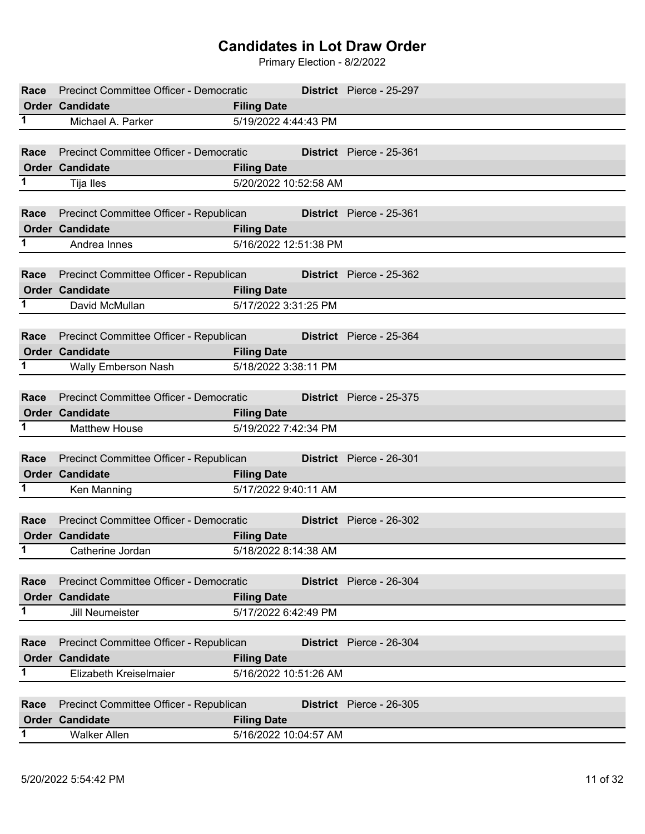| Race        | Precinct Committee Officer - Democratic | District Pierce - 25-297                       |
|-------------|-----------------------------------------|------------------------------------------------|
|             | <b>Order Candidate</b>                  | <b>Filing Date</b>                             |
| 1           | Michael A. Parker                       | 5/19/2022 4:44:43 PM                           |
|             |                                         |                                                |
| Race        | Precinct Committee Officer - Democratic | District Pierce - 25-361<br><u> Tanzania (</u> |
|             | <b>Order Candidate</b>                  | <b>Filing Date</b>                             |
| 1           | Tija Iles                               | 5/20/2022 10:52:58 AM                          |
|             |                                         |                                                |
| Race        | Precinct Committee Officer - Republican | <b>District</b> Pierce - 25-361                |
|             | <b>Order Candidate</b>                  | <b>Filing Date</b>                             |
| 1           | Andrea Innes                            | 5/16/2022 12:51:38 PM                          |
|             |                                         |                                                |
| Race        | Precinct Committee Officer - Republican | District Pierce - 25-362                       |
|             | <b>Order Candidate</b>                  | <b>Filing Date</b>                             |
| 1           | David McMullan                          | 5/17/2022 3:31:25 PM                           |
|             |                                         |                                                |
| Race        | Precinct Committee Officer - Republican | District Pierce - 25-364                       |
|             | <b>Order Candidate</b>                  | <b>Filing Date</b>                             |
| 1           | Wally Emberson Nash                     | 5/18/2022 3:38:11 PM                           |
|             |                                         |                                                |
| Race        | Precinct Committee Officer - Democratic | District Pierce - 25-375                       |
|             | <b>Order Candidate</b>                  | <b>Filing Date</b>                             |
| $\mathbf 1$ | <b>Matthew House</b>                    | 5/19/2022 7:42:34 PM                           |
|             |                                         |                                                |
| Race        | Precinct Committee Officer - Republican | District Pierce - 26-301                       |
|             | <b>Order Candidate</b>                  | <b>Filing Date</b>                             |
| 1           | Ken Manning                             | 5/17/2022 9:40:11 AM                           |
|             |                                         |                                                |
| Race        | Precinct Committee Officer - Democratic | District Pierce - 26-302                       |
|             | <b>Order Candidate</b>                  | <b>Filing Date</b>                             |
|             | Catherine Jordan                        | 5/18/2022 8:14:38 AM                           |
| Race        | Precinct Committee Officer - Democratic | District Pierce - 26-304                       |
|             | <b>Order Candidate</b>                  | <b>Filing Date</b>                             |
| $\mathbf 1$ | <b>Jill Neumeister</b>                  | 5/17/2022 6:42:49 PM                           |
|             |                                         |                                                |
| Race        | Precinct Committee Officer - Republican | District Pierce - 26-304                       |
|             | <b>Order Candidate</b>                  | <b>Filing Date</b>                             |
| 1           | Elizabeth Kreiselmaier                  | 5/16/2022 10:51:26 AM                          |
|             |                                         |                                                |
|             |                                         |                                                |
| Race        | Precinct Committee Officer - Republican | District Pierce - 26-305                       |
|             | <b>Order Candidate</b>                  | <b>Filing Date</b>                             |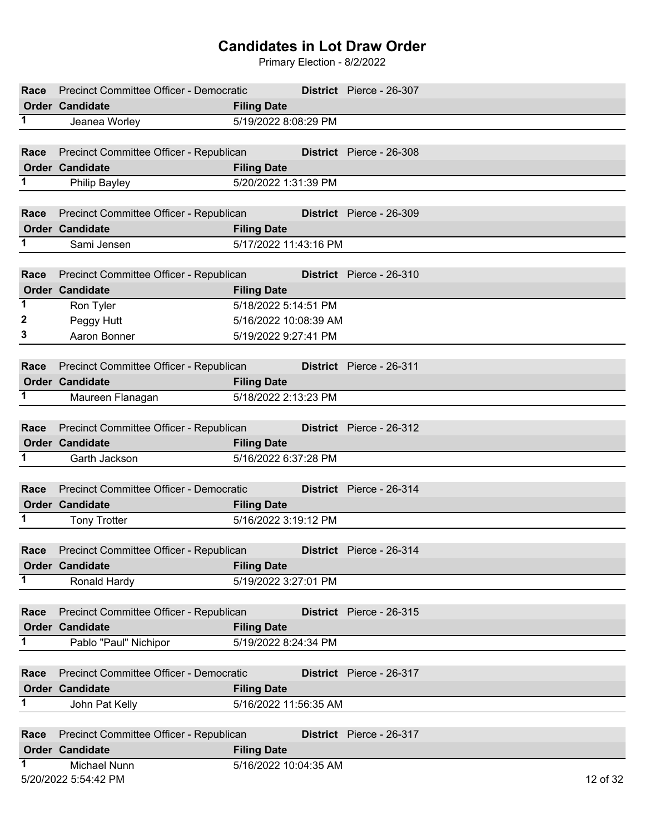|             | Precinct Committee Officer - Democratic      |                                             | District Pierce - 26-307        |
|-------------|----------------------------------------------|---------------------------------------------|---------------------------------|
| Race        | <b>Order Candidate</b>                       |                                             |                                 |
|             |                                              | <b>Filing Date</b>                          |                                 |
| 1           | Jeanea Worley                                | 5/19/2022 8:08:29 PM                        |                                 |
|             |                                              |                                             |                                 |
| Race        | Precinct Committee Officer - Republican      |                                             | District Pierce - 26-308        |
|             | <b>Order Candidate</b>                       | <b>Filing Date</b>                          |                                 |
| 1           | <b>Philip Bayley</b>                         | 5/20/2022 1:31:39 PM                        |                                 |
|             |                                              |                                             |                                 |
| Race        | Precinct Committee Officer - Republican      |                                             | <b>District</b> Pierce - 26-309 |
|             | <b>Order Candidate</b>                       | <b>Filing Date</b>                          |                                 |
| 1           | Sami Jensen                                  | 5/17/2022 11:43:16 PM                       |                                 |
|             |                                              |                                             |                                 |
| Race        | Precinct Committee Officer - Republican      |                                             | District Pierce - 26-310        |
|             | <b>Order Candidate</b>                       | <b>Filing Date</b>                          |                                 |
| $\mathbf 1$ | Ron Tyler                                    | 5/18/2022 5:14:51 PM                        |                                 |
| 2           | Peggy Hutt                                   | 5/16/2022 10:08:39 AM                       |                                 |
| 3           | Aaron Bonner                                 | 5/19/2022 9:27:41 PM                        |                                 |
|             |                                              |                                             |                                 |
| Race        | Precinct Committee Officer - Republican      |                                             | District Pierce - 26-311        |
|             | <b>Order Candidate</b>                       | <b>Filing Date</b>                          |                                 |
| 1           | Maureen Flanagan                             | 5/18/2022 2:13:23 PM                        |                                 |
|             |                                              |                                             |                                 |
| Race        | Precinct Committee Officer - Republican      |                                             | District Pierce - 26-312        |
|             | <b>Order Candidate</b>                       | <b>Filing Date</b>                          |                                 |
| 1.          | Garth Jackson                                | 5/16/2022 6:37:28 PM                        |                                 |
|             |                                              |                                             |                                 |
| Race        | Precinct Committee Officer - Democratic      |                                             | <b>District</b> Pierce - 26-314 |
|             | Order Candidate                              | <b>Filing Date</b>                          |                                 |
| 1           | <b>Tony Trotter</b>                          | 5/16/2022 3:19:12 PM                        |                                 |
|             |                                              |                                             |                                 |
|             | Race Precinct Committee Officer - Republican |                                             | District Pierce - 26-314        |
|             | <b>Order Candidate</b>                       | <b>Filing Date</b>                          |                                 |
| 1           | Ronald Hardy                                 | 5/19/2022 3:27:01 PM                        |                                 |
|             |                                              |                                             |                                 |
|             |                                              |                                             |                                 |
|             |                                              |                                             |                                 |
| Race        | Precinct Committee Officer - Republican      |                                             | District Pierce - 26-315        |
|             | <b>Order Candidate</b>                       | <b>Filing Date</b>                          |                                 |
| 1           | Pablo "Paul" Nichipor                        | 5/19/2022 8:24:34 PM                        |                                 |
|             |                                              |                                             |                                 |
| Race        | Precinct Committee Officer - Democratic      |                                             | District Pierce - 26-317        |
|             | Order Candidate                              | <b>Filing Date</b>                          |                                 |
| 1           | John Pat Kelly                               | 5/16/2022 11:56:35 AM                       |                                 |
|             |                                              |                                             |                                 |
| Race        | Precinct Committee Officer - Republican      |                                             | District Pierce - 26-317        |
| 1           | <b>Order Candidate</b><br>Michael Nunn       | <b>Filing Date</b><br>5/16/2022 10:04:35 AM |                                 |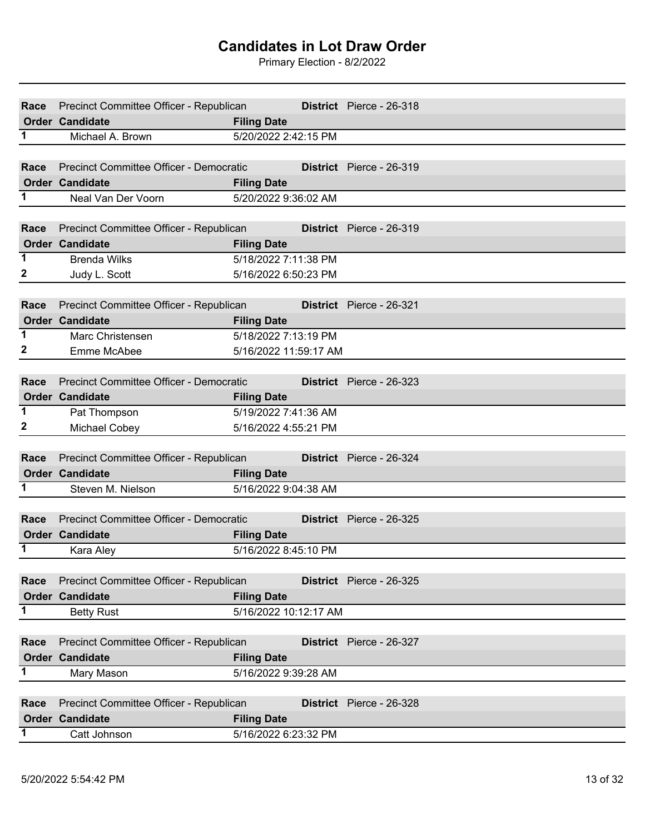| Race        | Precinct Committee Officer - Republican |                       | District Pierce - 26-318 |  |  |
|-------------|-----------------------------------------|-----------------------|--------------------------|--|--|
|             | <b>Order Candidate</b>                  | <b>Filing Date</b>    |                          |  |  |
| 1           | Michael A. Brown                        | 5/20/2022 2:42:15 PM  |                          |  |  |
|             |                                         |                       |                          |  |  |
| Race        | Precinct Committee Officer - Democratic |                       | District Pierce - 26-319 |  |  |
|             | <b>Order Candidate</b>                  | <b>Filing Date</b>    |                          |  |  |
| 1           | Neal Van Der Voorn                      | 5/20/2022 9:36:02 AM  |                          |  |  |
|             |                                         |                       |                          |  |  |
| Race        | Precinct Committee Officer - Republican |                       | District Pierce - 26-319 |  |  |
|             | <b>Order Candidate</b>                  | <b>Filing Date</b>    |                          |  |  |
| 1           | <b>Brenda Wilks</b>                     | 5/18/2022 7:11:38 PM  |                          |  |  |
| 2           | Judy L. Scott                           | 5/16/2022 6:50:23 PM  |                          |  |  |
|             |                                         |                       |                          |  |  |
| Race        | Precinct Committee Officer - Republican |                       | District Pierce - 26-321 |  |  |
|             | <b>Order Candidate</b>                  | <b>Filing Date</b>    |                          |  |  |
| $\mathbf 1$ | Marc Christensen                        | 5/18/2022 7:13:19 PM  |                          |  |  |
| 2           | Emme McAbee                             | 5/16/2022 11:59:17 AM |                          |  |  |
|             |                                         |                       |                          |  |  |
| Race        | Precinct Committee Officer - Democratic |                       | District Pierce - 26-323 |  |  |
| 1           | <b>Order Candidate</b>                  | <b>Filing Date</b>    |                          |  |  |
|             | Pat Thompson                            | 5/19/2022 7:41:36 AM  |                          |  |  |
| 2           | Michael Cobey                           | 5/16/2022 4:55:21 PM  |                          |  |  |
| Race        | Precinct Committee Officer - Republican |                       | District Pierce - 26-324 |  |  |
|             | <b>Order Candidate</b>                  | <b>Filing Date</b>    |                          |  |  |
| 1           | Steven M. Nielson                       | 5/16/2022 9:04:38 AM  |                          |  |  |
|             |                                         |                       |                          |  |  |
| Race        | Precinct Committee Officer - Democratic |                       | District Pierce - 26-325 |  |  |
|             | <b>Order Candidate</b>                  | <b>Filing Date</b>    |                          |  |  |
| 1.          | Kara Aley                               | 5/16/2022 8:45:10 PM  |                          |  |  |
|             |                                         |                       |                          |  |  |
| Race        | Precinct Committee Officer - Republican |                       | District Pierce - 26-325 |  |  |
|             | <b>Order Candidate</b>                  | <b>Filing Date</b>    |                          |  |  |
| 1           | <b>Betty Rust</b>                       | 5/16/2022 10:12:17 AM |                          |  |  |
|             |                                         |                       |                          |  |  |
| Race        | Precinct Committee Officer - Republican |                       | District Pierce - 26-327 |  |  |
|             | <b>Order Candidate</b>                  | <b>Filing Date</b>    |                          |  |  |
| 1           | Mary Mason                              | 5/16/2022 9:39:28 AM  |                          |  |  |
|             |                                         |                       |                          |  |  |
| Race        | Precinct Committee Officer - Republican |                       | District Pierce - 26-328 |  |  |
|             | Order Candidate                         | <b>Filing Date</b>    |                          |  |  |
| 1           | Catt Johnson                            | 5/16/2022 6:23:32 PM  |                          |  |  |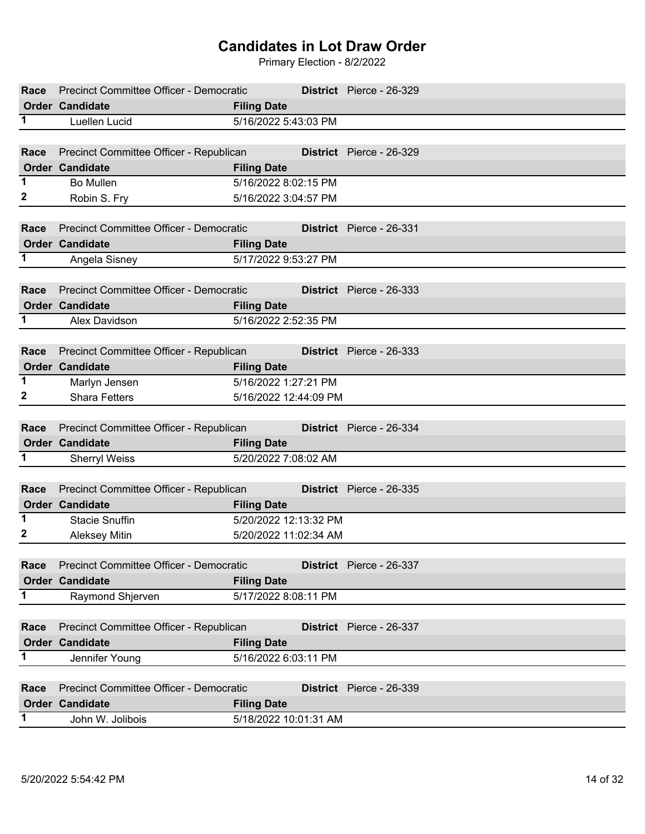| Race         | Precinct Committee Officer - Democratic        |                       | District Pierce - 26-329        |  |  |
|--------------|------------------------------------------------|-----------------------|---------------------------------|--|--|
|              | <b>Order Candidate</b>                         | <b>Filing Date</b>    |                                 |  |  |
| 1            | Luellen Lucid                                  | 5/16/2022 5:43:03 PM  |                                 |  |  |
|              |                                                |                       |                                 |  |  |
| Race         | Precinct Committee Officer - Republican        |                       | <b>District</b> Pierce - 26-329 |  |  |
|              | <b>Order Candidate</b>                         | <b>Filing Date</b>    |                                 |  |  |
| 1            | <b>Bo Mullen</b>                               | 5/16/2022 8:02:15 PM  |                                 |  |  |
| 2            | Robin S. Fry                                   | 5/16/2022 3:04:57 PM  |                                 |  |  |
|              |                                                |                       |                                 |  |  |
| Race         | <b>Precinct Committee Officer - Democratic</b> |                       | District Pierce - 26-331        |  |  |
|              | <b>Order Candidate</b>                         | <b>Filing Date</b>    |                                 |  |  |
| 1            | Angela Sisney                                  | 5/17/2022 9:53:27 PM  |                                 |  |  |
|              |                                                |                       |                                 |  |  |
| Race         | Precinct Committee Officer - Democratic        |                       | District Pierce - 26-333        |  |  |
|              | <b>Order Candidate</b>                         | <b>Filing Date</b>    |                                 |  |  |
| 1            | Alex Davidson                                  | 5/16/2022 2:52:35 PM  |                                 |  |  |
|              |                                                |                       |                                 |  |  |
| Race         | Precinct Committee Officer - Republican        |                       | District Pierce - 26-333        |  |  |
|              | <b>Order Candidate</b>                         | <b>Filing Date</b>    |                                 |  |  |
| 1            | Marlyn Jensen                                  | 5/16/2022 1:27:21 PM  |                                 |  |  |
| $\mathbf{z}$ | <b>Shara Fetters</b>                           | 5/16/2022 12:44:09 PM |                                 |  |  |
|              |                                                |                       |                                 |  |  |
| Race         | Precinct Committee Officer - Republican        |                       | District Pierce - 26-334        |  |  |
|              | Order Candidate                                | <b>Filing Date</b>    |                                 |  |  |
| 1.           | <b>Sherryl Weiss</b>                           | 5/20/2022 7:08:02 AM  |                                 |  |  |
|              |                                                |                       |                                 |  |  |
| Race         | Precinct Committee Officer - Republican        |                       | <b>District</b> Pierce - 26-335 |  |  |
| 1            | <b>Order Candidate</b>                         | <b>Filing Date</b>    |                                 |  |  |
| 2            | <b>Stacie Snuffin</b>                          | 5/20/2022 12:13:32 PM |                                 |  |  |
|              | <b>Aleksey Mitin</b>                           | 5/20/2022 11:02:34 AM |                                 |  |  |
| Race         | Precinct Committee Officer - Democratic        |                       | District Pierce - 26-337        |  |  |
|              | Order Candidate                                | <b>Filing Date</b>    |                                 |  |  |
| 1            | Raymond Shjerven                               | 5/17/2022 8:08:11 PM  |                                 |  |  |
|              |                                                |                       |                                 |  |  |
| Race         | Precinct Committee Officer - Republican        |                       | District Pierce - 26-337        |  |  |
|              | <b>Order Candidate</b>                         | <b>Filing Date</b>    |                                 |  |  |
| 1            | Jennifer Young                                 | 5/16/2022 6:03:11 PM  |                                 |  |  |
|              |                                                |                       |                                 |  |  |
| Race         | Precinct Committee Officer - Democratic        |                       | <b>District</b> Pierce - 26-339 |  |  |
|              | <b>Order Candidate</b>                         | <b>Filing Date</b>    |                                 |  |  |
| $\mathbf 1$  | John W. Jolibois                               | 5/18/2022 10:01:31 AM |                                 |  |  |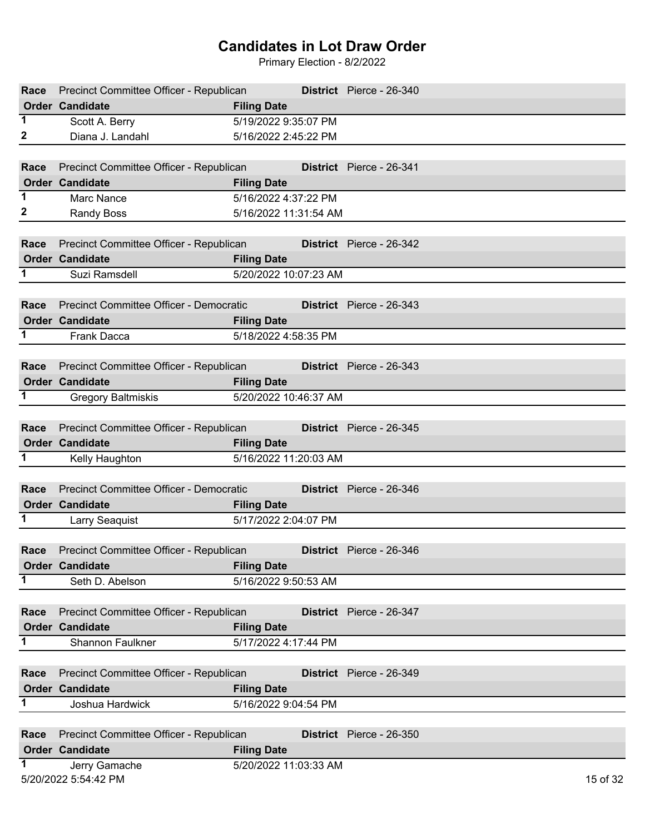| Race         | Precinct Committee Officer - Republican      |                       | District Pierce - 26-340 |          |
|--------------|----------------------------------------------|-----------------------|--------------------------|----------|
|              | <b>Order Candidate</b>                       | <b>Filing Date</b>    |                          |          |
| 1            | Scott A. Berry                               | 5/19/2022 9:35:07 PM  |                          |          |
| $\mathbf{z}$ | Diana J. Landahl                             | 5/16/2022 2:45:22 PM  |                          |          |
|              |                                              |                       |                          |          |
| Race         | Precinct Committee Officer - Republican      |                       | District Pierce - 26-341 |          |
|              | <b>Order Candidate</b>                       | <b>Filing Date</b>    |                          |          |
| 1            | Marc Nance                                   | 5/16/2022 4:37:22 PM  |                          |          |
| 2            | <b>Randy Boss</b>                            | 5/16/2022 11:31:54 AM |                          |          |
|              |                                              |                       |                          |          |
| Race         | Precinct Committee Officer - Republican      |                       | District Pierce - 26-342 |          |
|              | <b>Order Candidate</b>                       | <b>Filing Date</b>    |                          |          |
| 1.           | Suzi Ramsdell                                | 5/20/2022 10:07:23 AM |                          |          |
|              |                                              |                       |                          |          |
| Race         | Precinct Committee Officer - Democratic      |                       | District Pierce - 26-343 |          |
|              | <b>Order Candidate</b>                       | <b>Filing Date</b>    |                          |          |
| 1            | <b>Frank Dacca</b>                           | 5/18/2022 4:58:35 PM  |                          |          |
|              |                                              |                       |                          |          |
| Race         | Precinct Committee Officer - Republican      |                       | District Pierce - 26-343 |          |
|              | <b>Order Candidate</b>                       | <b>Filing Date</b>    |                          |          |
| 1            | <b>Gregory Baltmiskis</b>                    | 5/20/2022 10:46:37 AM |                          |          |
|              |                                              |                       |                          |          |
| Race         | Precinct Committee Officer - Republican      |                       | District Pierce - 26-345 |          |
|              | <b>Order Candidate</b>                       | <b>Filing Date</b>    |                          |          |
| 1.           | Kelly Haughton                               | 5/16/2022 11:20:03 AM |                          |          |
|              |                                              |                       |                          |          |
| Race         | Precinct Committee Officer - Democratic      |                       | District Pierce - 26-346 |          |
|              | <b>Order Candidate</b>                       | <b>Filing Date</b>    |                          |          |
| $\mathbf 1$  | <b>Larry Seaquist</b>                        | 5/17/2022 2:04:07 PM  |                          |          |
|              |                                              |                       |                          |          |
|              | Race Precinct Committee Officer - Republican |                       | District Pierce - 26-346 |          |
|              | <b>Order Candidate</b>                       | <b>Filing Date</b>    |                          |          |
| 1            | Seth D. Abelson                              | 5/16/2022 9:50:53 AM  |                          |          |
|              |                                              |                       |                          |          |
| Race         | Precinct Committee Officer - Republican      |                       | District Pierce - 26-347 |          |
|              | <b>Order Candidate</b>                       | <b>Filing Date</b>    |                          |          |
| 1            | <b>Shannon Faulkner</b>                      | 5/17/2022 4:17:44 PM  |                          |          |
|              |                                              |                       |                          |          |
| Race         | Precinct Committee Officer - Republican      |                       | District Pierce - 26-349 |          |
|              | Order Candidate                              | <b>Filing Date</b>    |                          |          |
| 1            | Joshua Hardwick                              | 5/16/2022 9:04:54 PM  |                          |          |
|              |                                              |                       |                          |          |
| Race         | Precinct Committee Officer - Republican      |                       | District Pierce - 26-350 |          |
|              | Order Candidate                              | <b>Filing Date</b>    |                          |          |
|              | Jerry Gamache                                | 5/20/2022 11:03:33 AM |                          |          |
|              | 5/20/2022 5:54:42 PM                         |                       |                          | 15 of 32 |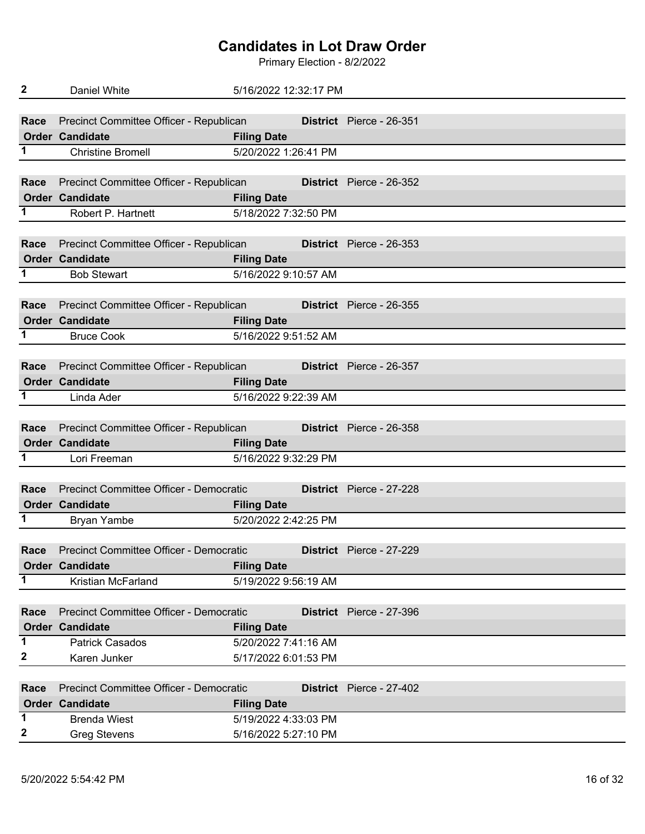| 2                 | Daniel White                                                      | 5/16/2022 12:32:17 PM                        |
|-------------------|-------------------------------------------------------------------|----------------------------------------------|
|                   |                                                                   |                                              |
| Race              | Precinct Committee Officer - Republican                           | District Pierce - 26-351                     |
|                   | <b>Order Candidate</b>                                            | <b>Filing Date</b>                           |
| $\mathbf 1$       | <b>Christine Bromell</b>                                          | 5/20/2022 1:26:41 PM                         |
|                   |                                                                   |                                              |
| Race              | Precinct Committee Officer - Republican                           | District Pierce - 26-352                     |
|                   | <b>Order Candidate</b>                                            | <b>Filing Date</b>                           |
| 1.                | Robert P. Hartnett                                                | 5/18/2022 7:32:50 PM                         |
|                   |                                                                   |                                              |
| Race              | Precinct Committee Officer - Republican                           | District Pierce - 26-353                     |
|                   | <b>Order Candidate</b>                                            | <b>Filing Date</b>                           |
| 1.                | <b>Bob Stewart</b>                                                | 5/16/2022 9:10:57 AM                         |
|                   |                                                                   |                                              |
| Race              | Precinct Committee Officer - Republican                           | District Pierce - 26-355<br>a sa Tan         |
|                   | <b>Order Candidate</b>                                            | <b>Filing Date</b>                           |
| 1.                | <b>Bruce Cook</b>                                                 | 5/16/2022 9:51:52 AM                         |
|                   |                                                                   |                                              |
| Race              | Precinct Committee Officer - Republican                           | District Pierce - 26-357                     |
|                   | <b>Order Candidate</b>                                            | <b>Filing Date</b>                           |
| 1                 | Linda Ader                                                        | 5/16/2022 9:22:39 AM                         |
|                   |                                                                   |                                              |
| Race              | Precinct Committee Officer - Republican                           | District Pierce - 26-358                     |
|                   | <b>Order Candidate</b>                                            | <b>Filing Date</b>                           |
| 1                 | Lori Freeman                                                      | 5/16/2022 9:32:29 PM                         |
|                   |                                                                   |                                              |
| Race              | Precinct Committee Officer - Democratic                           | District Pierce - 27-228                     |
|                   | <b>Order Candidate</b>                                            | <b>Filing Date</b>                           |
| 1                 | Bryan Yambe                                                       | 5/20/2022 2:42:25 PM                         |
|                   |                                                                   |                                              |
|                   | Race Precinct Committee Officer - Democratic                      | District Pierce - 27-229                     |
|                   | <b>Order Candidate</b>                                            | <b>Filing Date</b>                           |
| 1                 | Kristian McFarland                                                | 5/19/2022 9:56:19 AM                         |
|                   |                                                                   |                                              |
| Race              | Precinct Committee Officer - Democratic                           | District Pierce - 27-396                     |
|                   | Order Candidate                                                   | <b>Filing Date</b>                           |
| 1                 | <b>Patrick Casados</b>                                            | 5/20/2022 7:41:16 AM                         |
| $\mathbf{2}$      | Karen Junker                                                      | 5/17/2022 6:01:53 PM                         |
|                   |                                                                   |                                              |
| Race              | Precinct Committee Officer - Democratic<br><b>Order Candidate</b> | District Pierce - 27-402                     |
|                   |                                                                   | <b>Filing Date</b>                           |
|                   |                                                                   |                                              |
| 1<br>$\mathbf{2}$ | <b>Brenda Wiest</b><br><b>Greg Stevens</b>                        | 5/19/2022 4:33:03 PM<br>5/16/2022 5:27:10 PM |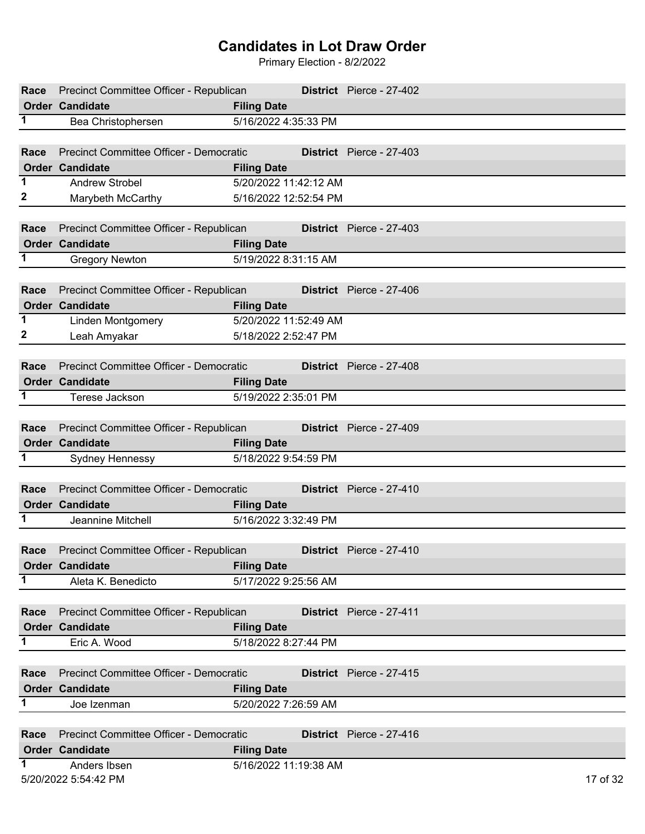| Race | Precinct Committee Officer - Republican      |                                             | District Pierce - 27-402        |
|------|----------------------------------------------|---------------------------------------------|---------------------------------|
|      | <b>Order Candidate</b>                       | <b>Filing Date</b>                          |                                 |
| 1    | Bea Christophersen                           | 5/16/2022 4:35:33 PM                        |                                 |
|      |                                              |                                             |                                 |
| Race | Precinct Committee Officer - Democratic      |                                             | District Pierce - 27-403        |
|      | <b>Order Candidate</b>                       | <b>Filing Date</b>                          |                                 |
| 1    | Andrew Strobel                               | 5/20/2022 11:42:12 AM                       |                                 |
| 2    | Marybeth McCarthy                            | 5/16/2022 12:52:54 PM                       |                                 |
|      |                                              |                                             |                                 |
| Race | Precinct Committee Officer - Republican      |                                             | District Pierce - 27-403        |
|      | <b>Order Candidate</b>                       | <b>Filing Date</b>                          |                                 |
| 1.   | <b>Gregory Newton</b>                        | 5/19/2022 8:31:15 AM                        |                                 |
|      |                                              |                                             |                                 |
| Race | Precinct Committee Officer - Republican      |                                             | <b>District</b> Pierce - 27-406 |
|      | <b>Order Candidate</b>                       | <b>Filing Date</b>                          |                                 |
| 1    | <b>Linden Montgomery</b>                     | 5/20/2022 11:52:49 AM                       |                                 |
| 2    | Leah Amyakar                                 | 5/18/2022 2:52:47 PM                        |                                 |
|      |                                              |                                             |                                 |
| Race | Precinct Committee Officer - Democratic      |                                             | District Pierce - 27-408        |
|      | <b>Order Candidate</b>                       | <b>Filing Date</b>                          |                                 |
| 1    | Terese Jackson                               | 5/19/2022 2:35:01 PM                        |                                 |
|      |                                              |                                             |                                 |
| Race | Precinct Committee Officer - Republican      |                                             | District Pierce - 27-409        |
|      | <b>Order Candidate</b>                       | <b>Filing Date</b>                          |                                 |
| 1.   | <b>Sydney Hennessy</b>                       | 5/18/2022 9:54:59 PM                        |                                 |
|      |                                              |                                             |                                 |
| Race | Precinct Committee Officer - Democratic      |                                             | District Pierce - 27-410        |
|      | <b>Order Candidate</b>                       | <b>Filing Date</b>                          |                                 |
| 1    | Jeannine Mitchell                            | 5/16/2022 3:32:49 PM                        |                                 |
|      |                                              |                                             |                                 |
|      | Race Precinct Committee Officer - Republican |                                             | District Pierce - 27-410        |
|      | <b>Order Candidate</b>                       | <b>Filing Date</b>                          |                                 |
| 1    | Aleta K. Benedicto                           | 5/17/2022 9:25:56 AM                        |                                 |
|      |                                              |                                             |                                 |
| Race | Precinct Committee Officer - Republican      |                                             | <b>District</b> Pierce - 27-411 |
|      | <b>Order Candidate</b>                       | <b>Filing Date</b>                          |                                 |
| 1    | Eric A. Wood                                 | 5/18/2022 8:27:44 PM                        |                                 |
|      |                                              |                                             |                                 |
| Race | Precinct Committee Officer - Democratic      |                                             | District Pierce - 27-415        |
| 1    | <b>Order Candidate</b>                       | <b>Filing Date</b>                          |                                 |
|      | Joe Izenman                                  | 5/20/2022 7:26:59 AM                        |                                 |
| Race |                                              |                                             | <b>District</b> Pierce - 27-416 |
|      |                                              |                                             |                                 |
|      | Precinct Committee Officer - Democratic      |                                             |                                 |
| 1    | <b>Order Candidate</b><br>Anders Ibsen       | <b>Filing Date</b><br>5/16/2022 11:19:38 AM |                                 |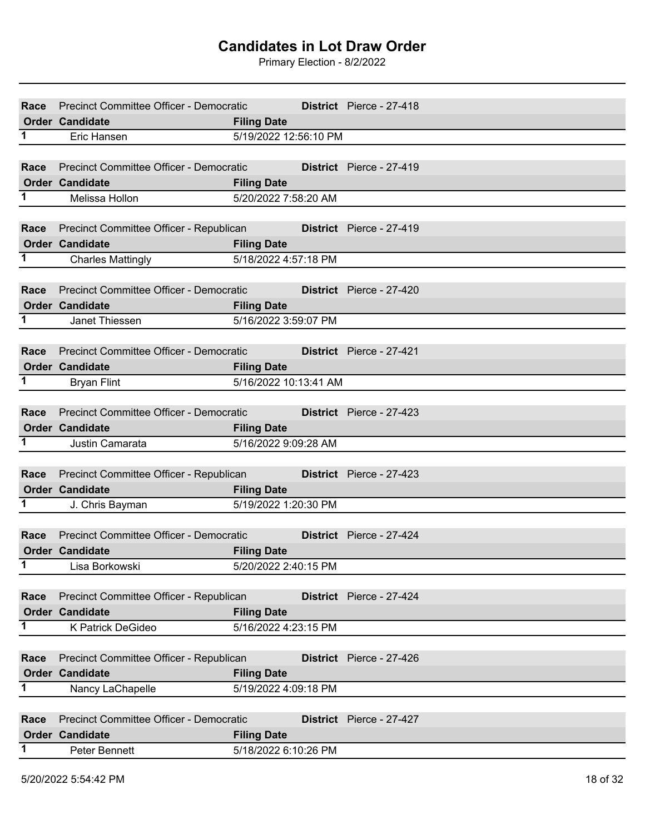| Race        | Precinct Committee Officer - Democratic                    | District Pierce - 27-418                   |
|-------------|------------------------------------------------------------|--------------------------------------------|
|             | <b>Order Candidate</b>                                     | <b>Filing Date</b>                         |
| 1           | Eric Hansen                                                | 5/19/2022 12:56:10 PM                      |
|             |                                                            |                                            |
| Race        | Precinct Committee Officer - Democratic                    | District Pierce - 27-419                   |
|             | <b>Order Candidate</b>                                     | <b>Filing Date</b>                         |
| 1           | Melissa Hollon                                             | 5/20/2022 7:58:20 AM                       |
|             |                                                            |                                            |
| Race        | Precinct Committee Officer - Republican                    | District Pierce - 27-419                   |
|             | <b>Order Candidate</b>                                     | <b>Filing Date</b>                         |
| 1           | <b>Charles Mattingly</b>                                   | 5/18/2022 4:57:18 PM                       |
|             |                                                            |                                            |
| Race        | Precinct Committee Officer - Democratic                    | <b>District</b> Pierce - 27-420            |
|             | <b>Order Candidate</b>                                     | <b>Filing Date</b>                         |
| 1           | Janet Thiessen                                             | 5/16/2022 3:59:07 PM                       |
|             |                                                            |                                            |
| Race        | Precinct Committee Officer - Democratic                    | District Pierce - 27-421                   |
|             | <b>Order Candidate</b>                                     | <b>Filing Date</b>                         |
| 1           | <b>Bryan Flint</b>                                         | 5/16/2022 10:13:41 AM                      |
|             |                                                            |                                            |
| Race        | Precinct Committee Officer - Democratic                    | District Pierce - 27-423                   |
|             | Order Candidate                                            | <b>Filing Date</b>                         |
| $\mathbf 1$ | Justin Camarata                                            | 5/16/2022 9:09:28 AM                       |
|             |                                                            |                                            |
| Race        | Precinct Committee Officer - Republican                    | District Pierce - 27-423                   |
|             | Order Candidate                                            | <b>Filing Date</b>                         |
| 1           | J. Chris Bayman                                            | 5/19/2022 1:20:30 PM                       |
| Race        | Precinct Committee Officer - Democratic                    | District Pierce - 27-424                   |
|             | <b>Order Candidate</b>                                     |                                            |
|             | Lisa Borkowski                                             | <b>Filing Date</b><br>5/20/2022 2:40:15 PM |
|             |                                                            |                                            |
| Race        |                                                            |                                            |
|             |                                                            |                                            |
|             | Precinct Committee Officer - Republican                    | District Pierce - 27-424                   |
| 1           | Order Candidate                                            | <b>Filing Date</b>                         |
|             | K Patrick DeGideo                                          | 5/16/2022 4:23:15 PM                       |
| Race        |                                                            | District Pierce - 27-426                   |
|             | Precinct Committee Officer - Republican<br>Order Candidate |                                            |
| 1           |                                                            | <b>Filing Date</b><br>5/19/2022 4:09:18 PM |
|             | Nancy LaChapelle                                           |                                            |
| Race        | Precinct Committee Officer - Democratic                    | District Pierce - 27-427                   |
|             | <b>Order Candidate</b>                                     | <b>Filing Date</b>                         |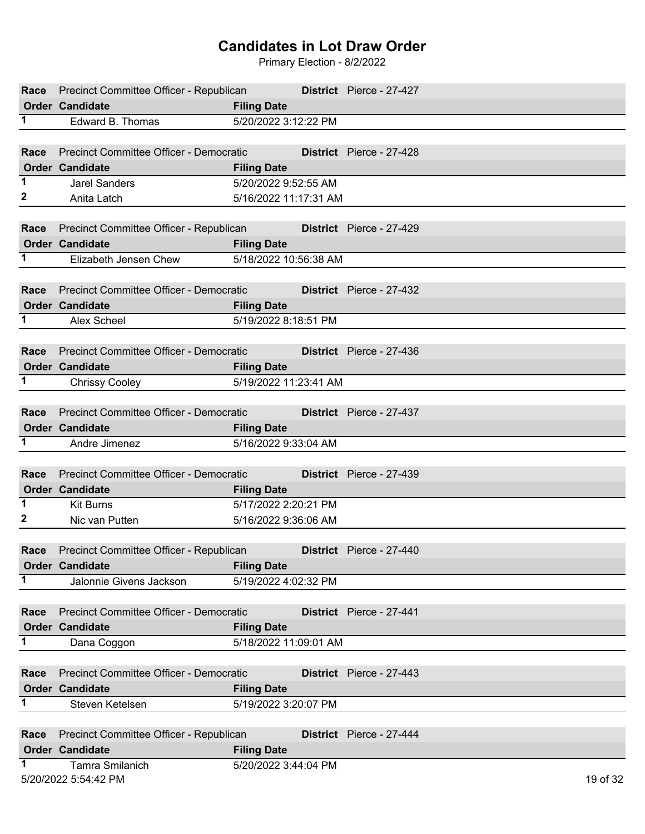| Race        | Precinct Committee Officer - Republican      |                       | District Pierce - 27-427        |
|-------------|----------------------------------------------|-----------------------|---------------------------------|
|             | <b>Order Candidate</b>                       | <b>Filing Date</b>    |                                 |
| $\mathbf 1$ | Edward B. Thomas                             | 5/20/2022 3:12:22 PM  |                                 |
|             |                                              |                       |                                 |
| Race        | Precinct Committee Officer - Democratic      |                       | District Pierce - 27-428        |
|             | <b>Order Candidate</b>                       | <b>Filing Date</b>    |                                 |
| 1           | <b>Jarel Sanders</b>                         | 5/20/2022 9:52:55 AM  |                                 |
| 2           | Anita Latch                                  | 5/16/2022 11:17:31 AM |                                 |
|             |                                              |                       |                                 |
| Race        |                                              | <u>a sa san</u>       | District Pierce - 27-429        |
|             | Precinct Committee Officer - Republican      |                       |                                 |
|             | <b>Order Candidate</b>                       | <b>Filing Date</b>    |                                 |
| 1.          | Elizabeth Jensen Chew                        | 5/18/2022 10:56:38 AM |                                 |
|             |                                              |                       |                                 |
| Race        | Precinct Committee Officer - Democratic      | <u>a sa sa sa</u>     | <b>District</b> Pierce - 27-432 |
|             | <b>Order Candidate</b>                       | <b>Filing Date</b>    |                                 |
| 1.          | Alex Scheel                                  | 5/19/2022 8:18:51 PM  |                                 |
|             |                                              |                       |                                 |
| Race        | Precinct Committee Officer - Democratic      |                       | District Pierce - 27-436        |
|             | <b>Order Candidate</b>                       | <b>Filing Date</b>    |                                 |
| 1.          | <b>Chrissy Cooley</b>                        | 5/19/2022 11:23:41 AM |                                 |
|             |                                              |                       |                                 |
| Race        | Precinct Committee Officer - Democratic      |                       | <b>District</b> Pierce - 27-437 |
|             | <b>Order Candidate</b>                       | <b>Filing Date</b>    |                                 |
|             |                                              |                       |                                 |
|             |                                              |                       |                                 |
| 1           | Andre Jimenez                                | 5/16/2022 9:33:04 AM  |                                 |
|             |                                              |                       |                                 |
| Race        | Precinct Committee Officer - Democratic      |                       | District Pierce - 27-439        |
|             | <b>Order Candidate</b>                       | <b>Filing Date</b>    |                                 |
| $\mathbf 1$ | <b>Kit Burns</b>                             | 5/17/2022 2:20:21 PM  |                                 |
| 2           | Nic van Putten                               | 5/16/2022 9:36:06 AM  |                                 |
|             |                                              |                       |                                 |
|             | Race Precinct Committee Officer - Republican |                       | District Pierce - 27-440        |
|             | <b>Order Candidate</b>                       | <b>Filing Date</b>    |                                 |
| 1           | Jalonnie Givens Jackson                      | 5/19/2022 4:02:32 PM  |                                 |
|             |                                              |                       |                                 |
| Race        |                                              |                       |                                 |
|             | Precinct Committee Officer - Democratic      |                       | <b>District</b> Pierce - 27-441 |
|             | <b>Order Candidate</b>                       | <b>Filing Date</b>    |                                 |
| 1           | Dana Coggon                                  | 5/18/2022 11:09:01 AM |                                 |
|             |                                              |                       |                                 |
| Race        | Precinct Committee Officer - Democratic      |                       | District Pierce - 27-443        |
|             | Order Candidate                              | <b>Filing Date</b>    |                                 |
| 1           | Steven Ketelsen                              | 5/19/2022 3:20:07 PM  |                                 |
|             |                                              |                       |                                 |
| Race        | Precinct Committee Officer - Republican      |                       | <b>District</b> Pierce - 27-444 |
|             | <b>Order Candidate</b>                       | <b>Filing Date</b>    |                                 |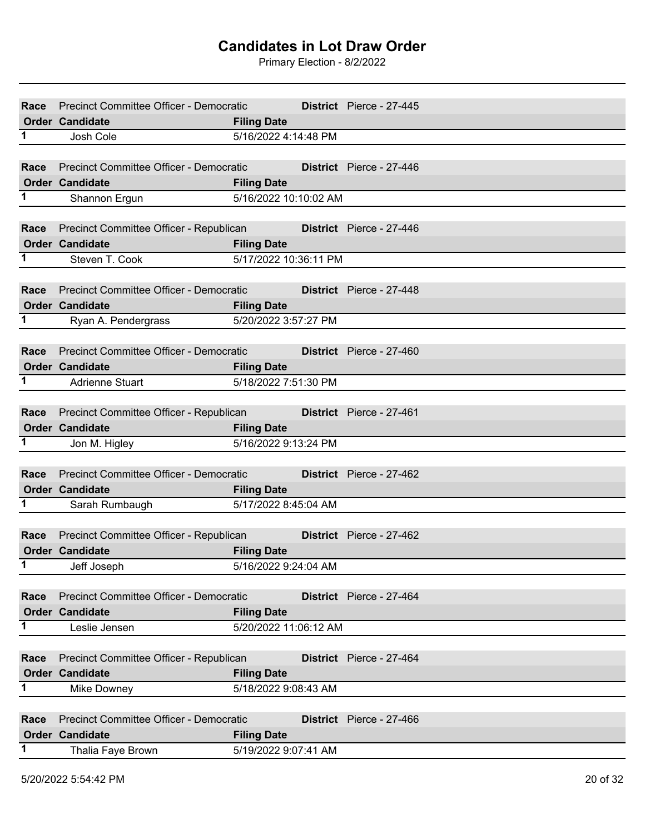| Race | Precinct Committee Officer - Democratic | District Pierce - 27-445                   |
|------|-----------------------------------------|--------------------------------------------|
|      | <b>Order Candidate</b>                  | <b>Filing Date</b>                         |
| 1    | Josh Cole                               | 5/16/2022 4:14:48 PM                       |
|      |                                         |                                            |
| Race | Precinct Committee Officer - Democratic | District Pierce - 27-446                   |
|      | <b>Order Candidate</b>                  | <b>Filing Date</b>                         |
| 1    | Shannon Ergun                           | 5/16/2022 10:10:02 AM                      |
|      |                                         |                                            |
| Race | Precinct Committee Officer - Republican | District Pierce - 27-446                   |
|      | <b>Order Candidate</b>                  | <b>Filing Date</b>                         |
| 1    | Steven T. Cook                          | 5/17/2022 10:36:11 PM                      |
|      |                                         |                                            |
| Race | Precinct Committee Officer - Democratic | District Pierce - 27-448                   |
|      | <b>Order Candidate</b>                  | <b>Filing Date</b>                         |
| 1    | Ryan A. Pendergrass                     | 5/20/2022 3:57:27 PM                       |
|      |                                         |                                            |
| Race | Precinct Committee Officer - Democratic | District Pierce - 27-460                   |
|      | <b>Order Candidate</b>                  | <b>Filing Date</b>                         |
| 1    | <b>Adrienne Stuart</b>                  | 5/18/2022 7:51:30 PM                       |
|      |                                         |                                            |
| Race | Precinct Committee Officer - Republican | District Pierce - 27-461                   |
|      | <b>Order Candidate</b>                  | <b>Filing Date</b>                         |
| 1    | Jon M. Higley                           | 5/16/2022 9:13:24 PM                       |
|      |                                         |                                            |
| Race | Precinct Committee Officer - Democratic | District Pierce - 27-462                   |
|      | <b>Order Candidate</b>                  | <b>Filing Date</b>                         |
| 1    | Sarah Rumbaugh                          | 5/17/2022 8:45:04 AM                       |
|      |                                         |                                            |
| Race | Precinct Committee Officer - Republican | District Pierce - 27-462                   |
|      | Order Candidate                         | <b>Filing Date</b>                         |
|      | Jeff Joseph                             | 5/16/2022 9:24:04 AM                       |
|      |                                         |                                            |
| Race |                                         |                                            |
|      | Precinct Committee Officer - Democratic | District Pierce - 27-464                   |
|      | Order Candidate                         | <b>Filing Date</b>                         |
| 1    | Leslie Jensen                           | 5/20/2022 11:06:12 AM                      |
|      |                                         |                                            |
| Race | Precinct Committee Officer - Republican | District Pierce - 27-464                   |
|      | Order Candidate                         | <b>Filing Date</b>                         |
| 1    | Mike Downey                             | 5/18/2022 9:08:43 AM                       |
|      |                                         |                                            |
| Race | Precinct Committee Officer - Democratic | District Pierce - 27-466                   |
| 1    | Order Candidate<br>Thalia Faye Brown    | <b>Filing Date</b><br>5/19/2022 9:07:41 AM |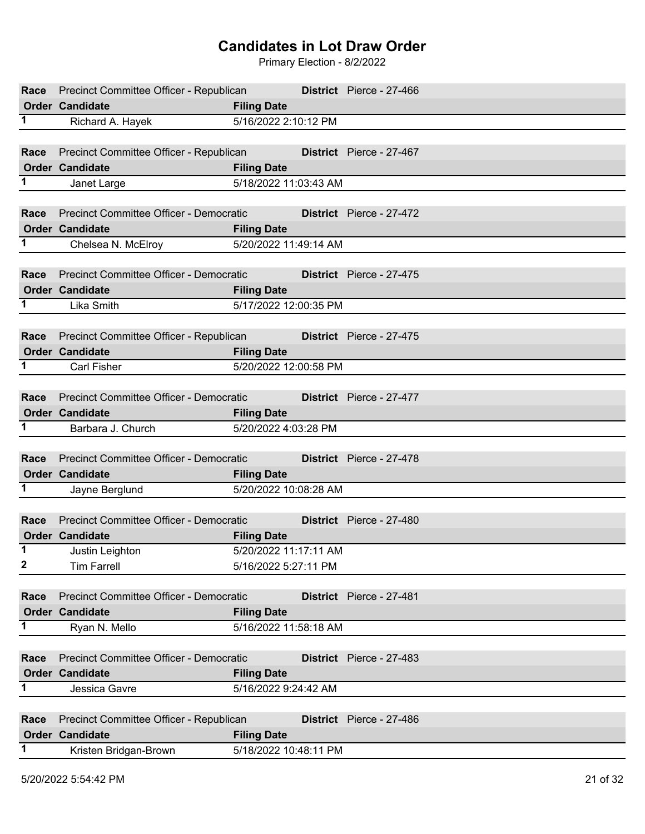| Race        | Precinct Committee Officer - Republican |                       | District Pierce - 27-466        |  |  |
|-------------|-----------------------------------------|-----------------------|---------------------------------|--|--|
|             | <b>Order Candidate</b>                  | <b>Filing Date</b>    |                                 |  |  |
| 1           | Richard A. Hayek                        | 5/16/2022 2:10:12 PM  |                                 |  |  |
|             |                                         |                       |                                 |  |  |
| Race        | Precinct Committee Officer - Republican |                       | <b>District</b> Pierce - 27-467 |  |  |
|             | <b>Order Candidate</b>                  | <b>Filing Date</b>    |                                 |  |  |
| 1           | Janet Large                             | 5/18/2022 11:03:43 AM |                                 |  |  |
|             |                                         |                       |                                 |  |  |
| Race        | Precinct Committee Officer - Democratic |                       | District Pierce - 27-472        |  |  |
|             |                                         |                       |                                 |  |  |
|             | Order Candidate                         | <b>Filing Date</b>    |                                 |  |  |
| 1           | Chelsea N. McElroy                      | 5/20/2022 11:49:14 AM |                                 |  |  |
|             |                                         |                       |                                 |  |  |
| Race        | Precinct Committee Officer - Democratic |                       | <b>District</b> Pierce - 27-475 |  |  |
|             | <b>Order Candidate</b>                  | <b>Filing Date</b>    |                                 |  |  |
| $\mathbf 1$ | Lika Smith                              | 5/17/2022 12:00:35 PM |                                 |  |  |
|             |                                         |                       |                                 |  |  |
| Race        | Precinct Committee Officer - Republican |                       | District Pierce - 27-475        |  |  |
|             | <b>Order Candidate</b>                  | <b>Filing Date</b>    |                                 |  |  |
| 1           | <b>Carl Fisher</b>                      | 5/20/2022 12:00:58 PM |                                 |  |  |
|             |                                         |                       |                                 |  |  |
|             |                                         |                       |                                 |  |  |
| Race        | Precinct Committee Officer - Democratic |                       | District Pierce - 27-477        |  |  |
|             | <b>Order Candidate</b>                  | <b>Filing Date</b>    |                                 |  |  |
| 1.          | Barbara J. Church                       | 5/20/2022 4:03:28 PM  |                                 |  |  |
|             |                                         |                       |                                 |  |  |
| Race        | Precinct Committee Officer - Democratic |                       | District Pierce - 27-478        |  |  |
|             | <b>Order Candidate</b>                  | <b>Filing Date</b>    |                                 |  |  |
| 1           | Jayne Berglund                          | 5/20/2022 10:08:28 AM |                                 |  |  |
|             |                                         |                       |                                 |  |  |
| Race        | Precinct Committee Officer - Democratic |                       | District Pierce - 27-480        |  |  |
|             | <b>Order Candidate</b>                  | <b>Filing Date</b>    |                                 |  |  |
| 1           | Justin Leighton                         | 5/20/2022 11:17:11 AM |                                 |  |  |
| 2           | <b>Tim Farrell</b>                      | 5/16/2022 5:27:11 PM  |                                 |  |  |
|             |                                         |                       |                                 |  |  |
|             | Precinct Committee Officer - Democratic |                       | District Pierce - 27-481        |  |  |
| Race        |                                         |                       |                                 |  |  |
|             | Order Candidate                         | <b>Filing Date</b>    |                                 |  |  |
| 1           | Ryan N. Mello                           | 5/16/2022 11:58:18 AM |                                 |  |  |
|             |                                         |                       |                                 |  |  |
| Race        | Precinct Committee Officer - Democratic |                       | District Pierce - 27-483        |  |  |
|             | <b>Order Candidate</b>                  | <b>Filing Date</b>    |                                 |  |  |
| 1.          | Jessica Gavre                           | 5/16/2022 9:24:42 AM  |                                 |  |  |
|             |                                         |                       |                                 |  |  |
| Race        | Precinct Committee Officer - Republican |                       | District Pierce - 27-486        |  |  |
|             | <b>Order Candidate</b>                  | <b>Filing Date</b>    |                                 |  |  |
| 1.          | Kristen Bridgan-Brown                   | 5/18/2022 10:48:11 PM |                                 |  |  |
|             |                                         |                       |                                 |  |  |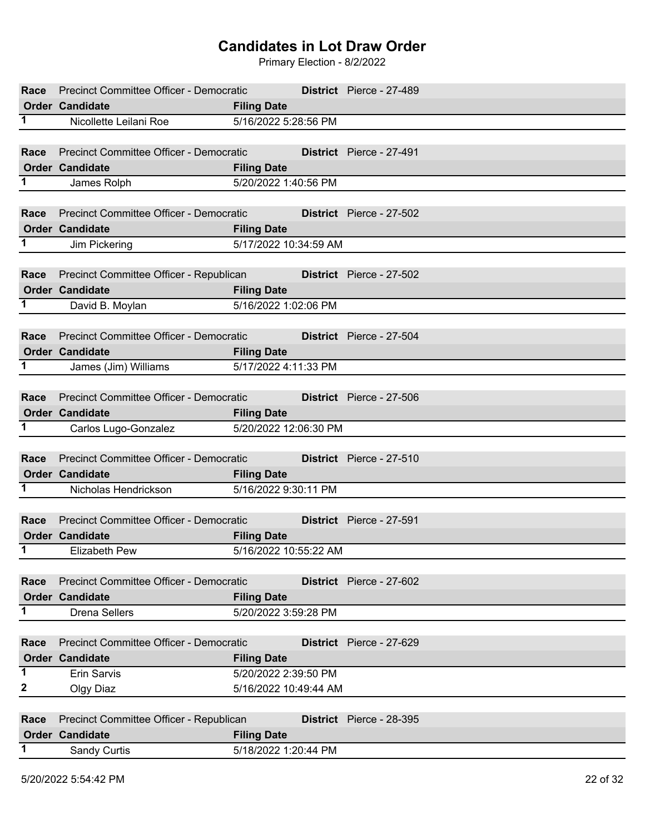| Race        | Precinct Committee Officer - Democratic                           |                                            | District Pierce - 27-489        |
|-------------|-------------------------------------------------------------------|--------------------------------------------|---------------------------------|
|             | <b>Order Candidate</b>                                            | <b>Filing Date</b>                         |                                 |
| 1           | Nicollette Leilani Roe                                            | 5/16/2022 5:28:56 PM                       |                                 |
|             |                                                                   |                                            |                                 |
| Race        | Precinct Committee Officer - Democratic                           | <b>The Company</b>                         | District Pierce - 27-491        |
|             | <b>Order Candidate</b>                                            | <b>Filing Date</b>                         |                                 |
| 1           | James Rolph                                                       | 5/20/2022 1:40:56 PM                       |                                 |
|             |                                                                   |                                            |                                 |
| Race        | Precinct Committee Officer - Democratic                           |                                            | District Pierce - 27-502        |
|             | <b>Order Candidate</b>                                            | <b>Filing Date</b>                         |                                 |
| 1.          | Jim Pickering                                                     | 5/17/2022 10:34:59 AM                      |                                 |
|             |                                                                   |                                            |                                 |
| Race        | Precinct Committee Officer - Republican                           |                                            | <b>District</b> Pierce - 27-502 |
|             | <b>Order Candidate</b>                                            | <b>Filing Date</b>                         |                                 |
| $\mathbf 1$ | David B. Moylan                                                   | 5/16/2022 1:02:06 PM                       |                                 |
|             |                                                                   |                                            |                                 |
| Race        | Precinct Committee Officer - Democratic                           |                                            | District Pierce - 27-504        |
|             | <b>Order Candidate</b>                                            |                                            |                                 |
| 1           | James (Jim) Williams                                              | <b>Filing Date</b><br>5/17/2022 4:11:33 PM |                                 |
|             |                                                                   |                                            |                                 |
| Race        | Precinct Committee Officer - Democratic                           |                                            | District Pierce - 27-506        |
|             | <b>Order Candidate</b>                                            | <b>Filing Date</b>                         |                                 |
| 1           | Carlos Lugo-Gonzalez                                              | 5/20/2022 12:06:30 PM                      |                                 |
|             |                                                                   |                                            |                                 |
| Race        | Precinct Committee Officer - Democratic                           |                                            | District Pierce - 27-510        |
|             | <b>Order Candidate</b>                                            | <b>Filing Date</b>                         |                                 |
| 1           | Nicholas Hendrickson                                              | 5/16/2022 9:30:11 PM                       |                                 |
|             |                                                                   |                                            |                                 |
| Race        | Precinct Committee Officer - Democratic                           |                                            | District Pierce - 27-591        |
|             | <b>Order Candidate</b>                                            | <b>Filing Date</b>                         |                                 |
| 1           | Elizabeth Pew                                                     | 5/16/2022 10:55:22 AM                      |                                 |
|             |                                                                   |                                            |                                 |
| Race        | Precinct Committee Officer - Democratic                           |                                            | District Pierce - 27-602        |
|             | <b>Order Candidate</b>                                            | <b>Filing Date</b>                         |                                 |
| 1           | <b>Drena Sellers</b>                                              | 5/20/2022 3:59:28 PM                       |                                 |
|             |                                                                   |                                            |                                 |
| Race        | Precinct Committee Officer - Democratic                           |                                            | District Pierce - 27-629        |
|             | <b>Order Candidate</b>                                            | <b>Filing Date</b>                         |                                 |
| 1           |                                                                   | 5/20/2022 2:39:50 PM                       |                                 |
|             |                                                                   |                                            |                                 |
| 2           | <b>Erin Sarvis</b>                                                |                                            |                                 |
|             | Olgy Diaz                                                         | 5/16/2022 10:49:44 AM                      |                                 |
|             |                                                                   |                                            |                                 |
| Race        | Precinct Committee Officer - Republican<br><b>Order Candidate</b> | <b>Filing Date</b>                         | District Pierce - 28-395        |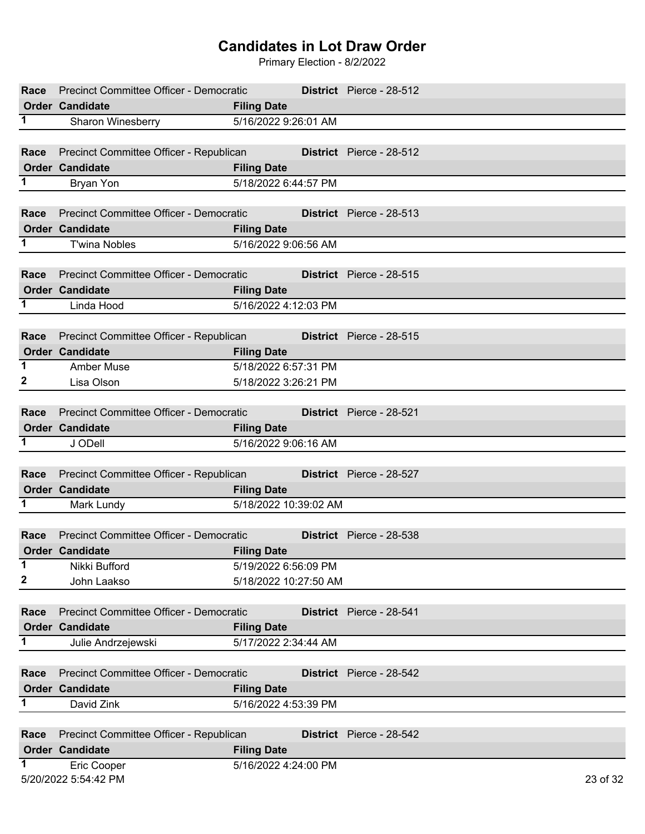| Precinct Committee Officer - Democratic<br>District Pierce - 28-512<br>Race<br><b>Order Candidate</b><br><b>Filing Date</b><br>1<br><b>Sharon Winesberry</b><br>5/16/2022 9:26:01 AM<br>Precinct Committee Officer - Republican<br><b>District</b> Pierce - 28-512<br>Race |  |
|----------------------------------------------------------------------------------------------------------------------------------------------------------------------------------------------------------------------------------------------------------------------------|--|
|                                                                                                                                                                                                                                                                            |  |
|                                                                                                                                                                                                                                                                            |  |
|                                                                                                                                                                                                                                                                            |  |
|                                                                                                                                                                                                                                                                            |  |
|                                                                                                                                                                                                                                                                            |  |
| <b>Order Candidate</b><br><b>Filing Date</b>                                                                                                                                                                                                                               |  |
| $\mathbf 1$<br>5/18/2022 6:44:57 PM<br>Bryan Yon                                                                                                                                                                                                                           |  |
|                                                                                                                                                                                                                                                                            |  |
| Precinct Committee Officer - Democratic<br>District Pierce - 28-513<br>Race                                                                                                                                                                                                |  |
| Order Candidate<br><b>Filing Date</b>                                                                                                                                                                                                                                      |  |
| 5/16/2022 9:06:56 AM<br>1.<br><b>T'wina Nobles</b>                                                                                                                                                                                                                         |  |
|                                                                                                                                                                                                                                                                            |  |
| Precinct Committee Officer - Democratic<br>Race<br><b>District</b> Pierce - 28-515                                                                                                                                                                                         |  |
| <b>Order Candidate</b><br><b>Filing Date</b>                                                                                                                                                                                                                               |  |
| $\mathbf 1$<br>Linda Hood<br>5/16/2022 4:12:03 PM                                                                                                                                                                                                                          |  |
|                                                                                                                                                                                                                                                                            |  |
| Precinct Committee Officer - Republican<br>District Pierce - 28-515<br>Race                                                                                                                                                                                                |  |
| <b>Order Candidate</b><br><b>Filing Date</b>                                                                                                                                                                                                                               |  |
| $\mathbf 1$<br>5/18/2022 6:57:31 PM<br>Amber Muse                                                                                                                                                                                                                          |  |
| $\mathbf{z}$<br>5/18/2022 3:26:21 PM<br>Lisa Olson                                                                                                                                                                                                                         |  |
|                                                                                                                                                                                                                                                                            |  |
| Precinct Committee Officer - Democratic<br>District Pierce - 28-521<br>Race                                                                                                                                                                                                |  |
| <b>Order Candidate</b><br><b>Filing Date</b>                                                                                                                                                                                                                               |  |
| 1<br>J ODell<br>5/16/2022 9:06:16 AM                                                                                                                                                                                                                                       |  |
|                                                                                                                                                                                                                                                                            |  |
| Precinct Committee Officer - Republican<br>District Pierce - 28-527<br>Race                                                                                                                                                                                                |  |
| <b>Order Candidate</b><br><b>Filing Date</b>                                                                                                                                                                                                                               |  |
| 1.<br>Mark Lundy<br>5/18/2022 10:39:02 AM                                                                                                                                                                                                                                  |  |
|                                                                                                                                                                                                                                                                            |  |
| Precinct Committee Officer - Democratic<br>District Pierce - 28-538<br>Race                                                                                                                                                                                                |  |
| Order Candidate<br><b>Filing Date</b>                                                                                                                                                                                                                                      |  |
|                                                                                                                                                                                                                                                                            |  |
| 1<br>Nikki Bufford<br>5/19/2022 6:56:09 PM                                                                                                                                                                                                                                 |  |
| 2<br>5/18/2022 10:27:50 AM<br>John Laakso                                                                                                                                                                                                                                  |  |
|                                                                                                                                                                                                                                                                            |  |
|                                                                                                                                                                                                                                                                            |  |
| Precinct Committee Officer - Democratic<br>District Pierce - 28-541<br>Race                                                                                                                                                                                                |  |
| <b>Order Candidate</b><br><b>Filing Date</b><br>1                                                                                                                                                                                                                          |  |
| 5/17/2022 2:34:44 AM<br>Julie Andrzejewski                                                                                                                                                                                                                                 |  |
| Precinct Committee Officer - Democratic<br>District Pierce - 28-542<br>Race                                                                                                                                                                                                |  |
| <b>Order Candidate</b>                                                                                                                                                                                                                                                     |  |
| <b>Filing Date</b><br>1                                                                                                                                                                                                                                                    |  |
| David Zink<br>5/16/2022 4:53:39 PM                                                                                                                                                                                                                                         |  |
| District Pierce - 28-542<br>Race                                                                                                                                                                                                                                           |  |
| Precinct Committee Officer - Republican<br><b>Order Candidate</b><br><b>Filing Date</b>                                                                                                                                                                                    |  |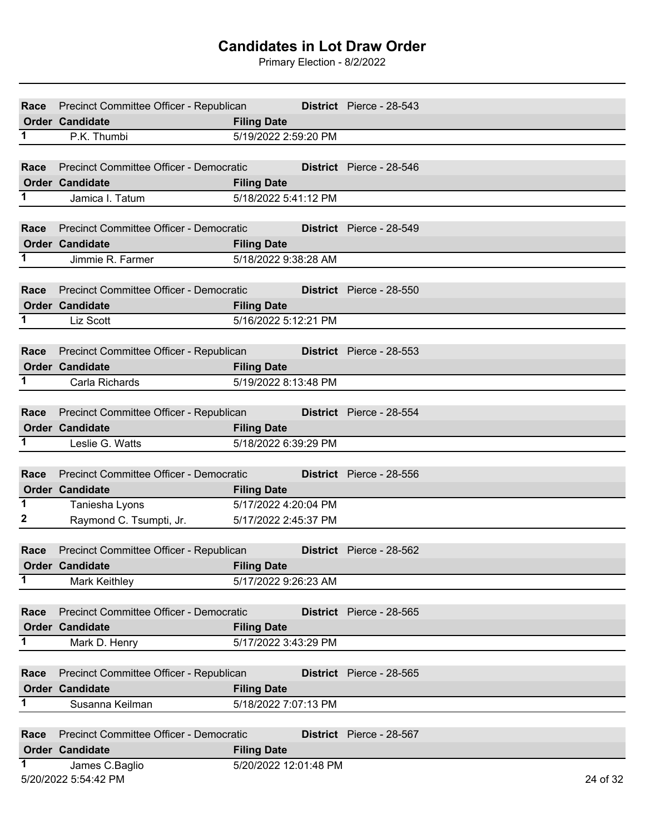| Race           | Precinct Committee Officer - Republican |                       | District Pierce - 28-543        |
|----------------|-----------------------------------------|-----------------------|---------------------------------|
|                | <b>Order Candidate</b>                  | <b>Filing Date</b>    |                                 |
| $\overline{1}$ | P.K. Thumbi                             | 5/19/2022 2:59:20 PM  |                                 |
|                |                                         |                       |                                 |
| Race           | Precinct Committee Officer - Democratic |                       | District Pierce - 28-546        |
|                | <b>Order Candidate</b>                  | <b>Filing Date</b>    |                                 |
| 1.             | Jamica I. Tatum                         | 5/18/2022 5:41:12 PM  |                                 |
|                |                                         |                       |                                 |
|                |                                         |                       |                                 |
| Race           | Precinct Committee Officer - Democratic |                       | <b>District</b> Pierce - 28-549 |
|                | <b>Order Candidate</b>                  | <b>Filing Date</b>    |                                 |
| $\mathbf 1$    | Jimmie R. Farmer                        | 5/18/2022 9:38:28 AM  |                                 |
|                |                                         |                       |                                 |
| Race           | Precinct Committee Officer - Democratic |                       | <b>District</b> Pierce - 28-550 |
|                | <b>Order Candidate</b>                  | <b>Filing Date</b>    |                                 |
| 1              | Liz Scott                               | 5/16/2022 5:12:21 PM  |                                 |
|                |                                         |                       |                                 |
|                |                                         |                       | District Pierce - 28-553        |
| Race           | Precinct Committee Officer - Republican |                       |                                 |
|                | <b>Order Candidate</b>                  | <b>Filing Date</b>    |                                 |
| 1              | Carla Richards                          | 5/19/2022 8:13:48 PM  |                                 |
|                |                                         |                       |                                 |
| Race           | Precinct Committee Officer - Republican |                       | District Pierce - 28-554        |
|                | <b>Order Candidate</b>                  | <b>Filing Date</b>    |                                 |
| 1              | Leslie G. Watts                         | 5/18/2022 6:39:29 PM  |                                 |
|                |                                         |                       |                                 |
| Race           | Precinct Committee Officer - Democratic |                       | District Pierce - 28-556        |
|                | Order Candidate                         | <b>Filing Date</b>    |                                 |
| 1              |                                         | 5/17/2022 4:20:04 PM  |                                 |
|                | Taniesha Lyons                          |                       |                                 |
| $\mathbf{z}$   | Raymond C. Tsumpti, Jr.                 | 5/17/2022 2:45:37 PM  |                                 |
|                |                                         |                       |                                 |
| Race           | Precinct Committee Officer - Republican |                       | District Pierce - 28-562        |
|                | <b>Order Candidate</b>                  | <b>Filing Date</b>    |                                 |
| 1              | <b>Mark Keithley</b>                    | 5/17/2022 9:26:23 AM  |                                 |
|                |                                         |                       |                                 |
| Race           | Precinct Committee Officer - Democratic |                       | District Pierce - 28-565        |
|                | Order Candidate                         | <b>Filing Date</b>    |                                 |
| 1              | Mark D. Henry                           | 5/17/2022 3:43:29 PM  |                                 |
|                |                                         |                       |                                 |
|                |                                         |                       |                                 |
| Race           | Precinct Committee Officer - Republican |                       | <b>District</b> Pierce - 28-565 |
|                | <b>Order Candidate</b>                  | <b>Filing Date</b>    |                                 |
| 1              | Susanna Keilman                         | 5/18/2022 7:07:13 PM  |                                 |
|                |                                         |                       |                                 |
| Race           | Precinct Committee Officer - Democratic |                       | District Pierce - 28-567        |
|                | <b>Order Candidate</b>                  | <b>Filing Date</b>    |                                 |
| 1              | James C.Baglio                          | 5/20/2022 12:01:48 PM |                                 |
|                |                                         |                       |                                 |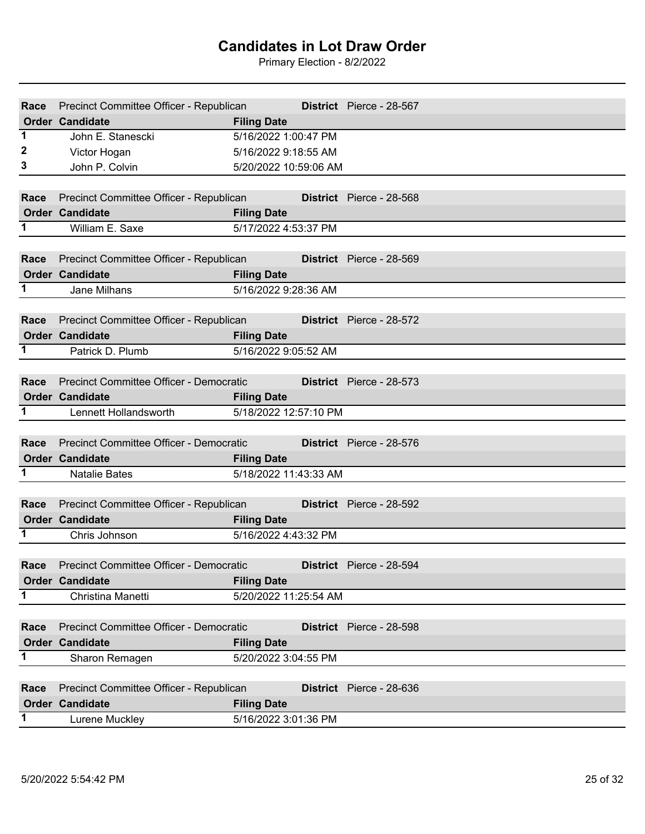| Race           | Precinct Committee Officer - Republican      |                       | District Pierce - 28-567        |
|----------------|----------------------------------------------|-----------------------|---------------------------------|
|                | <b>Order Candidate</b>                       | <b>Filing Date</b>    |                                 |
| $\overline{1}$ | John E. Stanescki                            | 5/16/2022 1:00:47 PM  |                                 |
| 2              | Victor Hogan                                 | 5/16/2022 9:18:55 AM  |                                 |
| 3              | John P. Colvin                               | 5/20/2022 10:59:06 AM |                                 |
|                |                                              |                       |                                 |
| Race           | Precinct Committee Officer - Republican      |                       | District Pierce - 28-568        |
|                | <b>Order Candidate</b>                       | <b>Filing Date</b>    |                                 |
| 1              | William E. Saxe                              | 5/17/2022 4:53:37 PM  |                                 |
|                |                                              |                       |                                 |
| Race           | Precinct Committee Officer - Republican      |                       | District Pierce - 28-569        |
|                | <b>Order Candidate</b>                       | <b>Filing Date</b>    |                                 |
| $\mathbf 1$    | Jane Milhans                                 | 5/16/2022 9:28:36 AM  |                                 |
|                |                                              |                       |                                 |
| Race           | Precinct Committee Officer - Republican      |                       | District Pierce - 28-572        |
|                | <b>Order Candidate</b>                       |                       |                                 |
| 1              |                                              | <b>Filing Date</b>    |                                 |
|                | Patrick D. Plumb                             | 5/16/2022 9:05:52 AM  |                                 |
|                |                                              |                       |                                 |
| Race           | Precinct Committee Officer - Democratic      |                       | District Pierce - 28-573        |
|                | <b>Order Candidate</b>                       | <b>Filing Date</b>    |                                 |
| 1              | Lennett Hollandsworth                        | 5/18/2022 12:57:10 PM |                                 |
|                |                                              |                       |                                 |
| Race           | Precinct Committee Officer - Democratic      |                       | <b>District</b> Pierce - 28-576 |
|                | <b>Order Candidate</b>                       | <b>Filing Date</b>    |                                 |
| 1.             | <b>Natalie Bates</b>                         | 5/18/2022 11:43:33 AM |                                 |
|                |                                              |                       |                                 |
| Race           | Precinct Committee Officer - Republican      |                       | District Pierce - 28-592        |
|                | <b>Order Candidate</b>                       | <b>Filing Date</b>    |                                 |
| 1              | Chris Johnson                                | 5/16/2022 4:43:32 PM  |                                 |
|                |                                              |                       |                                 |
|                | Race Precinct Committee Officer - Democratic |                       | District Pierce - 28-594        |
|                | <b>Order Candidate</b>                       | <b>Filing Date</b>    |                                 |
| $\overline{1}$ | Christina Manetti                            | 5/20/2022 11:25:54 AM |                                 |
|                |                                              |                       |                                 |
| Race           | Precinct Committee Officer - Democratic      |                       | District Pierce - 28-598        |
|                | <b>Order Candidate</b>                       | <b>Filing Date</b>    |                                 |
| 1              | Sharon Remagen                               | 5/20/2022 3:04:55 PM  |                                 |
|                |                                              |                       |                                 |
| Race           | Precinct Committee Officer - Republican      |                       | District Pierce - 28-636        |
|                | <b>Order Candidate</b>                       | <b>Filing Date</b>    |                                 |
| $\mathbf{1}$   |                                              |                       |                                 |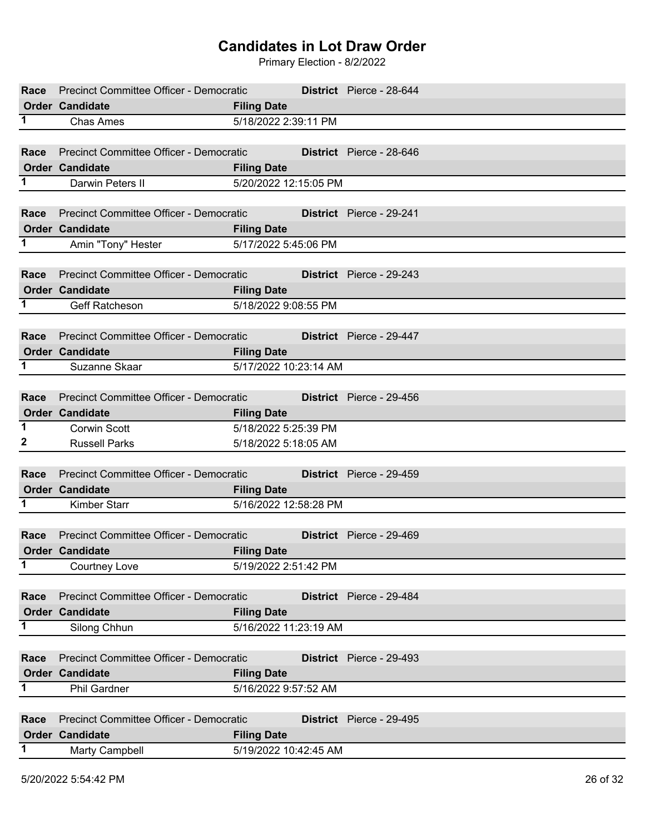| Race        | <b>Precinct Committee Officer - Democratic</b> | District Pierce - 28-644<br>a Tanzania |
|-------------|------------------------------------------------|----------------------------------------|
|             | <b>Order Candidate</b>                         | <b>Filing Date</b>                     |
| 1           | <b>Chas Ames</b>                               | 5/18/2022 2:39:11 PM                   |
|             |                                                |                                        |
| Race        | Precinct Committee Officer - Democratic        | District Pierce - 28-646               |
|             |                                                |                                        |
|             | <b>Order Candidate</b>                         | <b>Filing Date</b>                     |
| 1           | Darwin Peters II                               | 5/20/2022 12:15:05 PM                  |
|             |                                                |                                        |
| Race        | Precinct Committee Officer - Democratic        | District Pierce - 29-241               |
|             | Order Candidate                                | <b>Filing Date</b>                     |
| $\mathbf 1$ | Amin "Tony" Hester                             | 5/17/2022 5:45:06 PM                   |
|             |                                                |                                        |
| Race        | Precinct Committee Officer - Democratic        | <b>District</b> Pierce - 29-243        |
|             | <b>Order Candidate</b>                         |                                        |
|             |                                                | <b>Filing Date</b>                     |
| $\mathbf 1$ | <b>Geff Ratcheson</b>                          | 5/18/2022 9:08:55 PM                   |
|             |                                                |                                        |
| Race        | Precinct Committee Officer - Democratic        | District Pierce - 29-447               |
|             | <b>Order Candidate</b>                         | <b>Filing Date</b>                     |
| 1           | Suzanne Skaar                                  | 5/17/2022 10:23:14 AM                  |
|             |                                                |                                        |
| Race        | Precinct Committee Officer - Democratic        | District Pierce - 29-456               |
|             | <b>Order Candidate</b>                         |                                        |
|             |                                                | <b>Filing Date</b>                     |
| $\mathbf 1$ | <b>Corwin Scott</b>                            | 5/18/2022 5:25:39 PM                   |
| 2           | <b>Russell Parks</b>                           | 5/18/2022 5:18:05 AM                   |
|             |                                                |                                        |
| Race        | Precinct Committee Officer - Democratic        | District Pierce - 29-459               |
|             | Order Candidate                                | <b>Filing Date</b>                     |
| $\mathbf 1$ | Kimber Starr                                   | 5/16/2022 12:58:28 PM                  |
|             |                                                |                                        |
| Race        | Precinct Committee Officer - Democratic        | District Pierce - 29-469               |
|             | Order Candidate                                | <b>Filing Date</b>                     |
| 1.          |                                                |                                        |
|             | <b>Courtney Love</b>                           | 5/19/2022 2:51:42 PM                   |
|             |                                                |                                        |
| Race        | Precinct Committee Officer - Democratic        | District Pierce - 29-484               |
|             | <b>Order Candidate</b>                         | <b>Filing Date</b>                     |
| 1           | Silong Chhun                                   | 5/16/2022 11:23:19 AM                  |
|             |                                                |                                        |
| Race        | Precinct Committee Officer - Democratic        | District Pierce - 29-493               |
|             | <b>Order Candidate</b>                         | <b>Filing Date</b>                     |
| 1           |                                                |                                        |
|             | Phil Gardner                                   | 5/16/2022 9:57:52 AM                   |
|             |                                                |                                        |
| Race        | Precinct Committee Officer - Democratic        | District Pierce - 29-495               |
|             | Order Candidate                                | <b>Filing Date</b>                     |
| 1           | <b>Marty Campbell</b>                          | 5/19/2022 10:42:45 AM                  |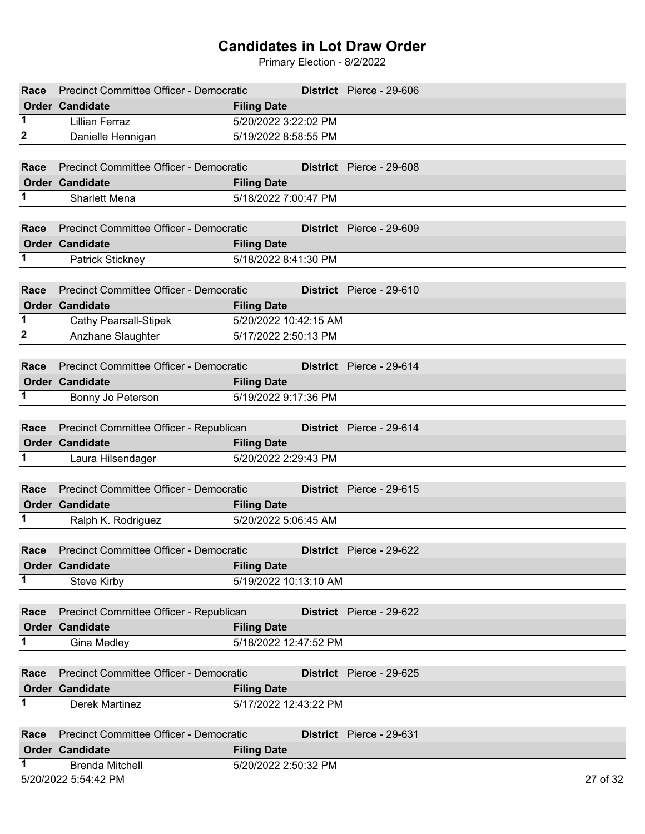| Race | Precinct Committee Officer - Democratic        |                       | District Pierce - 29-606        |  |  |  |
|------|------------------------------------------------|-----------------------|---------------------------------|--|--|--|
|      | <b>Order Candidate</b>                         | <b>Filing Date</b>    |                                 |  |  |  |
| 1    | <b>Lillian Ferraz</b>                          | 5/20/2022 3:22:02 PM  |                                 |  |  |  |
| 2    | Danielle Hennigan                              | 5/19/2022 8:58:55 PM  |                                 |  |  |  |
|      |                                                |                       |                                 |  |  |  |
| Race | Precinct Committee Officer - Democratic        |                       | District Pierce - 29-608        |  |  |  |
|      | <b>Order Candidate</b>                         | <b>Filing Date</b>    |                                 |  |  |  |
| 1    | <b>Sharlett Mena</b>                           | 5/18/2022 7:00:47 PM  |                                 |  |  |  |
|      |                                                |                       |                                 |  |  |  |
| Race | <b>Precinct Committee Officer - Democratic</b> |                       | District Pierce - 29-609        |  |  |  |
|      | <b>Order Candidate</b>                         | <b>Filing Date</b>    |                                 |  |  |  |
| 1.   | Patrick Stickney                               | 5/18/2022 8:41:30 PM  |                                 |  |  |  |
|      |                                                |                       |                                 |  |  |  |
| Race | Precinct Committee Officer - Democratic        |                       | <b>District</b> Pierce - 29-610 |  |  |  |
|      | <b>Order Candidate</b>                         | <b>Filing Date</b>    |                                 |  |  |  |
| 1    | <b>Cathy Pearsall-Stipek</b>                   | 5/20/2022 10:42:15 AM |                                 |  |  |  |
| 2    | Anzhane Slaughter                              | 5/17/2022 2:50:13 PM  |                                 |  |  |  |
|      |                                                |                       |                                 |  |  |  |
| Race | Precinct Committee Officer - Democratic        |                       | District Pierce - 29-614        |  |  |  |
|      | <b>Order Candidate</b>                         | <b>Filing Date</b>    |                                 |  |  |  |
| 1    | Bonny Jo Peterson                              | 5/19/2022 9:17:36 PM  |                                 |  |  |  |
|      |                                                |                       |                                 |  |  |  |
| Race | Precinct Committee Officer - Republican        |                       | District Pierce - 29-614        |  |  |  |
|      | <b>Order Candidate</b>                         | <b>Filing Date</b>    |                                 |  |  |  |
| 1.   | Laura Hilsendager                              | 5/20/2022 2:29:43 PM  |                                 |  |  |  |
|      |                                                |                       |                                 |  |  |  |
| Race | Precinct Committee Officer - Democratic        |                       | District Pierce - 29-615        |  |  |  |
|      | <b>Order Candidate</b>                         | <b>Filing Date</b>    |                                 |  |  |  |
| 1    | Ralph K. Rodriguez                             | 5/20/2022 5:06:45 AM  |                                 |  |  |  |
|      |                                                |                       |                                 |  |  |  |
|      | Race Precinct Committee Officer - Democratic   |                       | District Pierce - 29-622        |  |  |  |
|      | <b>Order Candidate</b>                         | <b>Filing Date</b>    |                                 |  |  |  |
| 1    | <b>Steve Kirby</b>                             | 5/19/2022 10:13:10 AM |                                 |  |  |  |
|      |                                                |                       |                                 |  |  |  |
| Race | Precinct Committee Officer - Republican        |                       | District Pierce - 29-622        |  |  |  |
|      | <b>Order Candidate</b>                         | <b>Filing Date</b>    |                                 |  |  |  |
| 1    | Gina Medley                                    | 5/18/2022 12:47:52 PM |                                 |  |  |  |
|      | District Pierce - 29-625                       |                       |                                 |  |  |  |
| Race | Precinct Committee Officer - Democratic        |                       |                                 |  |  |  |
|      | Order Candidate                                | <b>Filing Date</b>    |                                 |  |  |  |
| 1    | Derek Martinez                                 | 5/17/2022 12:43:22 PM |                                 |  |  |  |
|      |                                                |                       |                                 |  |  |  |
| Race | Precinct Committee Officer - Democratic        |                       | <b>District</b> Pierce - 29-631 |  |  |  |
| 1    | <b>Order Candidate</b>                         | <b>Filing Date</b>    |                                 |  |  |  |
|      | <b>Brenda Mitchell</b>                         | 5/20/2022 2:50:32 PM  |                                 |  |  |  |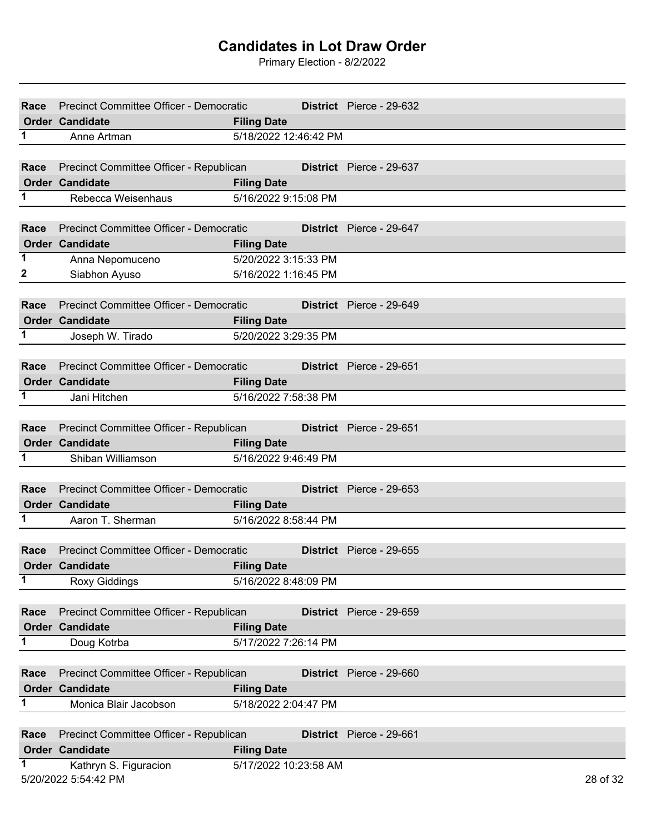| Race        | Precinct Committee Officer - Democratic |                       | District Pierce - 29-632        |          |
|-------------|-----------------------------------------|-----------------------|---------------------------------|----------|
|             | <b>Order Candidate</b>                  | <b>Filing Date</b>    |                                 |          |
| 1           | Anne Artman                             | 5/18/2022 12:46:42 PM |                                 |          |
|             |                                         |                       |                                 |          |
| Race        | Precinct Committee Officer - Republican | a Tanzania            | <b>District</b> Pierce - 29-637 |          |
|             | <b>Order Candidate</b>                  | <b>Filing Date</b>    |                                 |          |
| 1           | Rebecca Weisenhaus                      | 5/16/2022 9:15:08 PM  |                                 |          |
|             |                                         |                       |                                 |          |
| Race        | Precinct Committee Officer - Democratic |                       | District Pierce - 29-647        |          |
|             | <b>Order Candidate</b>                  | <b>Filing Date</b>    |                                 |          |
| $\mathbf 1$ | Anna Nepomuceno                         | 5/20/2022 3:15:33 PM  |                                 |          |
| 2           | Siabhon Ayuso                           | 5/16/2022 1:16:45 PM  |                                 |          |
|             |                                         |                       |                                 |          |
| Race        | Precinct Committee Officer - Democratic |                       | <b>District</b> Pierce - 29-649 |          |
|             | <b>Order Candidate</b>                  | <b>Filing Date</b>    |                                 |          |
| 1           | Joseph W. Tirado                        | 5/20/2022 3:29:35 PM  |                                 |          |
|             |                                         |                       |                                 |          |
| Race        | Precinct Committee Officer - Democratic |                       | <b>District</b> Pierce - 29-651 |          |
|             | <b>Order Candidate</b>                  | <b>Filing Date</b>    |                                 |          |
| 1           | Jani Hitchen                            | 5/16/2022 7:58:38 PM  |                                 |          |
|             |                                         |                       |                                 |          |
| Race        | Precinct Committee Officer - Republican |                       | District Pierce - 29-651        |          |
|             | <b>Order Candidate</b>                  | <b>Filing Date</b>    |                                 |          |
| 1           | Shiban Williamson                       | 5/16/2022 9:46:49 PM  |                                 |          |
|             |                                         |                       |                                 |          |
| Race        | Precinct Committee Officer - Democratic |                       | District Pierce - 29-653        |          |
|             | <b>Order Candidate</b>                  | <b>Filing Date</b>    |                                 |          |
| 1           | Aaron T. Sherman                        | 5/16/2022 8:58:44 PM  |                                 |          |
|             |                                         |                       |                                 |          |
| Race        | Precinct Committee Officer - Democratic |                       | District Pierce - 29-655        |          |
|             | Order Candidate                         | <b>Filing Date</b>    |                                 |          |
| 1           | Roxy Giddings                           | 5/16/2022 8:48:09 PM  |                                 |          |
|             |                                         |                       |                                 |          |
| Race        | Precinct Committee Officer - Republican |                       | District Pierce - 29-659        |          |
|             | <b>Order Candidate</b>                  | <b>Filing Date</b>    |                                 |          |
| 1           | Doug Kotrba                             | 5/17/2022 7:26:14 PM  |                                 |          |
|             |                                         |                       |                                 |          |
| Race        | Precinct Committee Officer - Republican |                       | <b>District</b> Pierce - 29-660 |          |
|             | <b>Order Candidate</b>                  | <b>Filing Date</b>    |                                 |          |
| 1           | Monica Blair Jacobson                   | 5/18/2022 2:04:47 PM  |                                 |          |
|             |                                         |                       |                                 |          |
| Race        | Precinct Committee Officer - Republican |                       | District Pierce - 29-661        |          |
|             | <b>Order Candidate</b>                  |                       |                                 |          |
| 1.          |                                         | <b>Filing Date</b>    |                                 |          |
|             | Kathryn S. Figuracion                   | 5/17/2022 10:23:58 AM |                                 |          |
|             | 5/20/2022 5:54:42 PM                    |                       |                                 | 28 of 32 |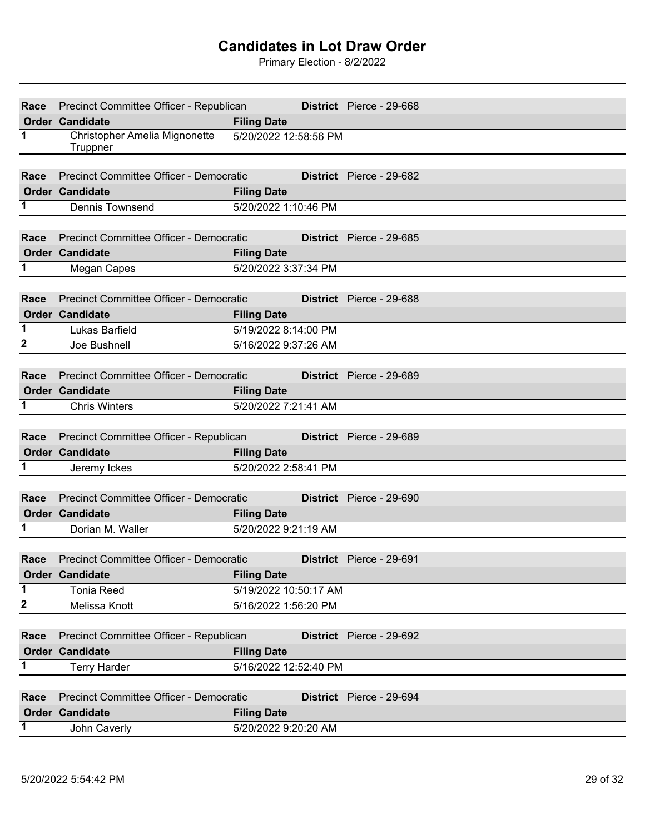| Race           | Precinct Committee Officer - Republican        | District Pierce - 29-668                   |
|----------------|------------------------------------------------|--------------------------------------------|
|                | <b>Order Candidate</b>                         | <b>Filing Date</b>                         |
| $\overline{1}$ | Christopher Amelia Mignonette                  | 5/20/2022 12:58:56 PM                      |
|                | Truppner                                       |                                            |
|                | Precinct Committee Officer - Democratic        | District Pierce - 29-682                   |
| Race           | <b>Order Candidate</b>                         | <b>Filing Date</b>                         |
| $\mathbf 1$    | <b>Dennis Townsend</b>                         | 5/20/2022 1:10:46 PM                       |
|                |                                                |                                            |
| Race           | Precinct Committee Officer - Democratic        | District Pierce - 29-685                   |
|                | <b>Order Candidate</b>                         | <b>Filing Date</b>                         |
| 1              | Megan Capes                                    | 5/20/2022 3:37:34 PM                       |
|                |                                                |                                            |
| Race           | Precinct Committee Officer - Democratic        | District Pierce - 29-688                   |
|                | <b>Order Candidate</b>                         | <b>Filing Date</b>                         |
| $\mathbf 1$    | Lukas Barfield                                 | 5/19/2022 8:14:00 PM                       |
| 2              | Joe Bushnell                                   | 5/16/2022 9:37:26 AM                       |
|                |                                                |                                            |
| Race           | Precinct Committee Officer - Democratic        | District Pierce - 29-689                   |
|                | <b>Order Candidate</b>                         | <b>Filing Date</b>                         |
| 1              | <b>Chris Winters</b>                           | 5/20/2022 7:21:41 AM                       |
|                |                                                |                                            |
| Race           | Precinct Committee Officer - Republican        | District Pierce - 29-689                   |
|                | <b>Order Candidate</b>                         | <b>Filing Date</b>                         |
| 1              | Jeremy Ickes                                   | 5/20/2022 2:58:41 PM                       |
|                |                                                |                                            |
| Race           | Precinct Committee Officer - Democratic        | District Pierce - 29-690                   |
| 1.             | <b>Order Candidate</b><br>Dorian M. Waller     | <b>Filing Date</b><br>5/20/2022 9:21:19 AM |
|                |                                                |                                            |
| Race           | <b>Precinct Committee Officer - Democratic</b> | <b>District</b> Pierce - 29-691            |
|                | Order Candidate                                | <b>Filing Date</b>                         |
| 1              | <b>Tonia Reed</b>                              | 5/19/2022 10:50:17 AM                      |
| 2              | Melissa Knott                                  | 5/16/2022 1:56:20 PM                       |
|                |                                                |                                            |
| Race           | Precinct Committee Officer - Republican        | District Pierce - 29-692                   |
|                | Order Candidate                                | <b>Filing Date</b>                         |
| 1              | <b>Terry Harder</b>                            | 5/16/2022 12:52:40 PM                      |
|                |                                                |                                            |
| Race           | Precinct Committee Officer - Democratic        | District Pierce - 29-694                   |
|                | <b>Order Candidate</b>                         | <b>Filing Date</b>                         |
| 1              | John Caverly                                   | 5/20/2022 9:20:20 AM                       |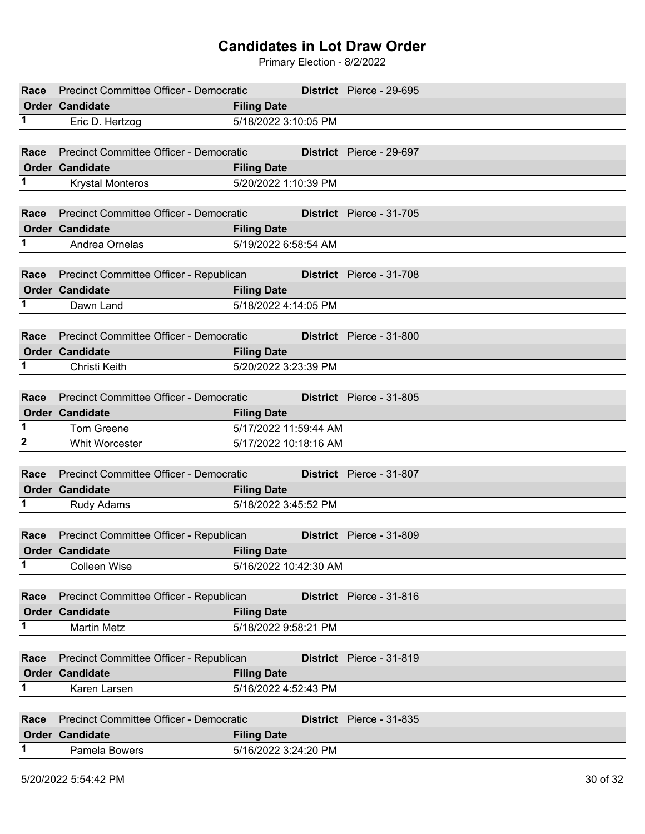| Race | Precinct Committee Officer - Democratic |                       | District Pierce - 29-695        |
|------|-----------------------------------------|-----------------------|---------------------------------|
|      | <b>Order Candidate</b>                  | <b>Filing Date</b>    |                                 |
| 1    | Eric D. Hertzog                         | 5/18/2022 3:10:05 PM  |                                 |
|      |                                         |                       |                                 |
| Race | Precinct Committee Officer - Democratic |                       | <b>District</b> Pierce - 29-697 |
|      | <b>Order Candidate</b>                  | <b>Filing Date</b>    |                                 |
| 1    | <b>Krystal Monteros</b>                 | 5/20/2022 1:10:39 PM  |                                 |
|      |                                         |                       |                                 |
|      |                                         |                       |                                 |
| Race | Precinct Committee Officer - Democratic |                       | District Pierce - 31-705        |
|      | <b>Order Candidate</b>                  | <b>Filing Date</b>    |                                 |
| 1    | Andrea Ornelas                          | 5/19/2022 6:58:54 AM  |                                 |
|      |                                         |                       |                                 |
| Race | Precinct Committee Officer - Republican |                       | <b>District</b> Pierce - 31-708 |
|      | <b>Order Candidate</b>                  | <b>Filing Date</b>    |                                 |
| 1    | Dawn Land                               | 5/18/2022 4:14:05 PM  |                                 |
|      |                                         |                       |                                 |
|      |                                         |                       |                                 |
| Race | Precinct Committee Officer - Democratic |                       | District Pierce - 31-800        |
|      | <b>Order Candidate</b>                  | <b>Filing Date</b>    |                                 |
| 1    | Christi Keith                           | 5/20/2022 3:23:39 PM  |                                 |
|      |                                         |                       |                                 |
| Race | Precinct Committee Officer - Democratic |                       | District Pierce - 31-805        |
|      | <b>Order Candidate</b>                  | <b>Filing Date</b>    |                                 |
| 1    | Tom Greene                              | 5/17/2022 11:59:44 AM |                                 |
| 2    | <b>Whit Worcester</b>                   | 5/17/2022 10:18:16 AM |                                 |
|      |                                         |                       |                                 |
| Race | Precinct Committee Officer - Democratic |                       | District Pierce - 31-807        |
|      |                                         |                       |                                 |
|      | <b>Order Candidate</b>                  | <b>Filing Date</b>    |                                 |
| 1.   | Rudy Adams                              | 5/18/2022 3:45:52 PM  |                                 |
|      |                                         |                       |                                 |
| Race | Precinct Committee Officer - Republican |                       | District Pierce - 31-809        |
|      | Order Candidate                         | <b>Filing Date</b>    |                                 |
| 1    | <b>Colleen Wise</b>                     | 5/16/2022 10:42:30 AM |                                 |
|      |                                         |                       |                                 |
| Race | Precinct Committee Officer - Republican |                       | District Pierce - 31-816        |
|      | Order Candidate                         | <b>Filing Date</b>    |                                 |
| 1    | <b>Martin Metz</b>                      | 5/18/2022 9:58:21 PM  |                                 |
|      |                                         |                       |                                 |
|      |                                         |                       |                                 |
| Race | Precinct Committee Officer - Republican |                       | District Pierce - 31-819        |
|      | <b>Order Candidate</b>                  | <b>Filing Date</b>    |                                 |
| 1    | Karen Larsen                            | 5/16/2022 4:52:43 PM  |                                 |
|      |                                         |                       |                                 |
| Race | Precinct Committee Officer - Democratic |                       | District Pierce - 31-835        |
|      | <b>Order Candidate</b>                  | <b>Filing Date</b>    |                                 |
| 1.   | Pamela Bowers                           | 5/16/2022 3:24:20 PM  |                                 |
|      |                                         |                       |                                 |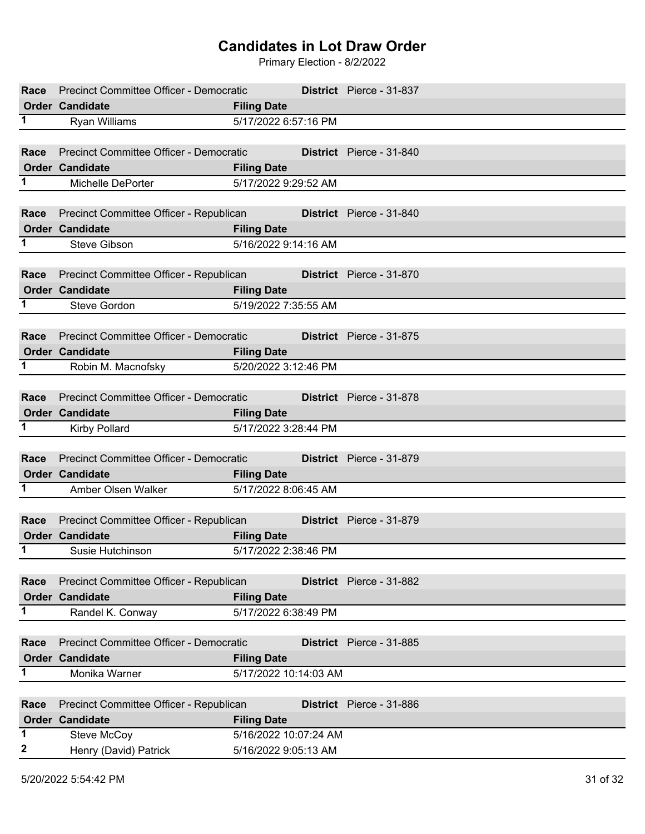| Precinct Committee Officer - Democratic<br>District Pierce - 31-837<br><b>Order Candidate</b><br><b>Filing Date</b><br>1<br>5/17/2022 6:57:16 PM<br><b>Ryan Williams</b><br>Precinct Committee Officer - Democratic<br>District Pierce - 31-840<br>Race<br><u> Tanzania (</u><br><b>Order Candidate</b><br><b>Filing Date</b><br>1<br>5/17/2022 9:29:52 AM<br>Michelle DePorter<br>Precinct Committee Officer - Republican<br>District Pierce - 31-840<br>Race<br>Order Candidate<br><b>Filing Date</b><br>5/16/2022 9:14:16 AM<br>1.<br><b>Steve Gibson</b><br>Precinct Committee Officer - Republican<br><b>District</b> Pierce - 31-870<br>Race<br><b>Order Candidate</b><br><b>Filing Date</b><br>$\mathbf 1$<br>Steve Gordon<br>5/19/2022 7:35:55 AM<br>Precinct Committee Officer - Democratic<br>District Pierce - 31-875<br>Race<br>an sa sala |  |
|--------------------------------------------------------------------------------------------------------------------------------------------------------------------------------------------------------------------------------------------------------------------------------------------------------------------------------------------------------------------------------------------------------------------------------------------------------------------------------------------------------------------------------------------------------------------------------------------------------------------------------------------------------------------------------------------------------------------------------------------------------------------------------------------------------------------------------------------------------|--|
|                                                                                                                                                                                                                                                                                                                                                                                                                                                                                                                                                                                                                                                                                                                                                                                                                                                        |  |
|                                                                                                                                                                                                                                                                                                                                                                                                                                                                                                                                                                                                                                                                                                                                                                                                                                                        |  |
|                                                                                                                                                                                                                                                                                                                                                                                                                                                                                                                                                                                                                                                                                                                                                                                                                                                        |  |
|                                                                                                                                                                                                                                                                                                                                                                                                                                                                                                                                                                                                                                                                                                                                                                                                                                                        |  |
|                                                                                                                                                                                                                                                                                                                                                                                                                                                                                                                                                                                                                                                                                                                                                                                                                                                        |  |
|                                                                                                                                                                                                                                                                                                                                                                                                                                                                                                                                                                                                                                                                                                                                                                                                                                                        |  |
|                                                                                                                                                                                                                                                                                                                                                                                                                                                                                                                                                                                                                                                                                                                                                                                                                                                        |  |
|                                                                                                                                                                                                                                                                                                                                                                                                                                                                                                                                                                                                                                                                                                                                                                                                                                                        |  |
|                                                                                                                                                                                                                                                                                                                                                                                                                                                                                                                                                                                                                                                                                                                                                                                                                                                        |  |
|                                                                                                                                                                                                                                                                                                                                                                                                                                                                                                                                                                                                                                                                                                                                                                                                                                                        |  |
|                                                                                                                                                                                                                                                                                                                                                                                                                                                                                                                                                                                                                                                                                                                                                                                                                                                        |  |
|                                                                                                                                                                                                                                                                                                                                                                                                                                                                                                                                                                                                                                                                                                                                                                                                                                                        |  |
|                                                                                                                                                                                                                                                                                                                                                                                                                                                                                                                                                                                                                                                                                                                                                                                                                                                        |  |
|                                                                                                                                                                                                                                                                                                                                                                                                                                                                                                                                                                                                                                                                                                                                                                                                                                                        |  |
|                                                                                                                                                                                                                                                                                                                                                                                                                                                                                                                                                                                                                                                                                                                                                                                                                                                        |  |
|                                                                                                                                                                                                                                                                                                                                                                                                                                                                                                                                                                                                                                                                                                                                                                                                                                                        |  |
| <b>Order Candidate</b><br><b>Filing Date</b>                                                                                                                                                                                                                                                                                                                                                                                                                                                                                                                                                                                                                                                                                                                                                                                                           |  |
| 1<br>Robin M. Macnofsky<br>5/20/2022 3:12:46 PM                                                                                                                                                                                                                                                                                                                                                                                                                                                                                                                                                                                                                                                                                                                                                                                                        |  |
|                                                                                                                                                                                                                                                                                                                                                                                                                                                                                                                                                                                                                                                                                                                                                                                                                                                        |  |
| Precinct Committee Officer - Democratic<br>District Pierce - 31-878<br>Race                                                                                                                                                                                                                                                                                                                                                                                                                                                                                                                                                                                                                                                                                                                                                                            |  |
| <b>Order Candidate</b><br><b>Filing Date</b>                                                                                                                                                                                                                                                                                                                                                                                                                                                                                                                                                                                                                                                                                                                                                                                                           |  |
| 5/17/2022 3:28:44 PM<br>1.<br><b>Kirby Pollard</b>                                                                                                                                                                                                                                                                                                                                                                                                                                                                                                                                                                                                                                                                                                                                                                                                     |  |
|                                                                                                                                                                                                                                                                                                                                                                                                                                                                                                                                                                                                                                                                                                                                                                                                                                                        |  |
| Precinct Committee Officer - Democratic<br>District Pierce - 31-879<br>Race                                                                                                                                                                                                                                                                                                                                                                                                                                                                                                                                                                                                                                                                                                                                                                            |  |
| <b>Order Candidate</b><br><b>Filing Date</b>                                                                                                                                                                                                                                                                                                                                                                                                                                                                                                                                                                                                                                                                                                                                                                                                           |  |
| 1<br>5/17/2022 8:06:45 AM<br>Amber Olsen Walker                                                                                                                                                                                                                                                                                                                                                                                                                                                                                                                                                                                                                                                                                                                                                                                                        |  |
|                                                                                                                                                                                                                                                                                                                                                                                                                                                                                                                                                                                                                                                                                                                                                                                                                                                        |  |
| Precinct Committee Officer - Republican<br>District Pierce - 31-879<br>Race                                                                                                                                                                                                                                                                                                                                                                                                                                                                                                                                                                                                                                                                                                                                                                            |  |
| Order Candidate<br><b>Filing Date</b><br>1                                                                                                                                                                                                                                                                                                                                                                                                                                                                                                                                                                                                                                                                                                                                                                                                             |  |
| 5/17/2022 2:38:46 PM<br>Susie Hutchinson                                                                                                                                                                                                                                                                                                                                                                                                                                                                                                                                                                                                                                                                                                                                                                                                               |  |
| Precinct Committee Officer - Republican<br>District Pierce - 31-882<br>Race                                                                                                                                                                                                                                                                                                                                                                                                                                                                                                                                                                                                                                                                                                                                                                            |  |
| <b>Order Candidate</b><br><b>Filing Date</b>                                                                                                                                                                                                                                                                                                                                                                                                                                                                                                                                                                                                                                                                                                                                                                                                           |  |
| 1<br>5/17/2022 6:38:49 PM<br>Randel K. Conway                                                                                                                                                                                                                                                                                                                                                                                                                                                                                                                                                                                                                                                                                                                                                                                                          |  |
|                                                                                                                                                                                                                                                                                                                                                                                                                                                                                                                                                                                                                                                                                                                                                                                                                                                        |  |
| Precinct Committee Officer - Democratic<br>District Pierce - 31-885<br>Race                                                                                                                                                                                                                                                                                                                                                                                                                                                                                                                                                                                                                                                                                                                                                                            |  |
| <b>Order Candidate</b><br><b>Filing Date</b>                                                                                                                                                                                                                                                                                                                                                                                                                                                                                                                                                                                                                                                                                                                                                                                                           |  |
| 1.<br>5/17/2022 10:14:03 AM<br>Monika Warner                                                                                                                                                                                                                                                                                                                                                                                                                                                                                                                                                                                                                                                                                                                                                                                                           |  |
|                                                                                                                                                                                                                                                                                                                                                                                                                                                                                                                                                                                                                                                                                                                                                                                                                                                        |  |
| Precinct Committee Officer - Republican<br>District Pierce - 31-886<br>Race                                                                                                                                                                                                                                                                                                                                                                                                                                                                                                                                                                                                                                                                                                                                                                            |  |
| <b>Order Candidate</b><br><b>Filing Date</b>                                                                                                                                                                                                                                                                                                                                                                                                                                                                                                                                                                                                                                                                                                                                                                                                           |  |
| 1<br>Steve McCoy<br>5/16/2022 10:07:24 AM                                                                                                                                                                                                                                                                                                                                                                                                                                                                                                                                                                                                                                                                                                                                                                                                              |  |
| $\mathbf{z}$<br>Henry (David) Patrick<br>5/16/2022 9:05:13 AM                                                                                                                                                                                                                                                                                                                                                                                                                                                                                                                                                                                                                                                                                                                                                                                          |  |